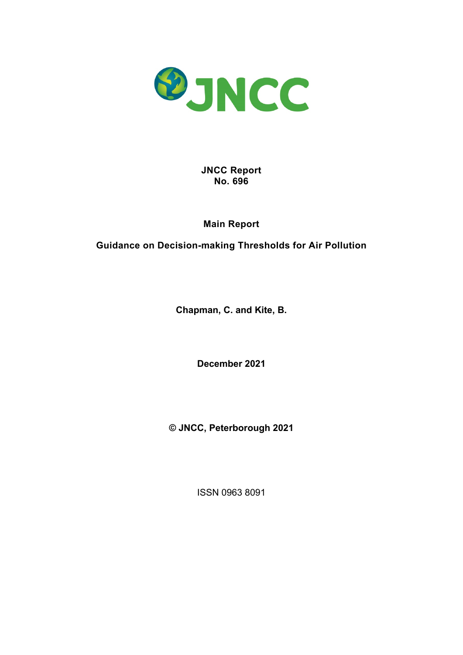

**JNCC Report No. 696**

**Main Report**

**Guidance on Decision-making Thresholds for Air Pollution**

**Chapman, C. and Kite, B.**

**December 2021**

**© JNCC, Peterborough 2021** 

ISSN 0963 8091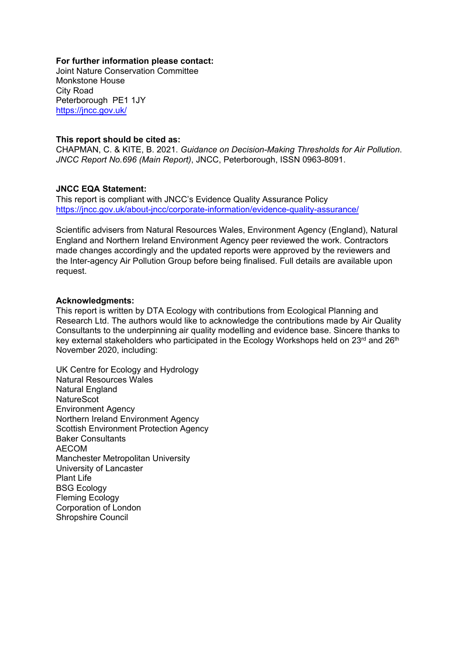#### **For further information please contact:**

Joint Nature Conservation Committee Monkstone House City Road Peterborough PE1 1JY <https://jncc.gov.uk/>

#### **This report should be cited as:**

CHAPMAN, C. & KITE, B. 2021. *Guidance on Decision-Making Thresholds for Air Pollution*. *JNCC Report No.696 (Main Report)*, JNCC, Peterborough, ISSN 0963-8091.

### **JNCC EQA Statement:**

This report is compliant with JNCC's Evidence Quality Assurance Policy <https://jncc.gov.uk/about-jncc/corporate-information/evidence-quality-assurance/>

Scientific advisers from Natural Resources Wales, Environment Agency (England), Natural England and Northern Ireland Environment Agency peer reviewed the work. Contractors made changes accordingly and the updated reports were approved by the reviewers and the Inter-agency Air Pollution Group before being finalised. Full details are available upon request.

#### **Acknowledgments:**

This report is written by DTA Ecology with contributions from Ecological Planning and Research Ltd. The authors would like to acknowledge the contributions made by Air Quality Consultants to the underpinning air quality modelling and evidence base. Sincere thanks to key external stakeholders who participated in the Ecology Workshops held on 23<sup>rd</sup> and 26<sup>th</sup> November 2020, including:

UK Centre for Ecology and Hydrology Natural Resources Wales Natural England **NatureScot** Environment Agency Northern Ireland Environment Agency Scottish Environment Protection Agency Baker Consultants AECOM Manchester Metropolitan University University of Lancaster Plant Life BSG Ecology Fleming Ecology Corporation of London Shropshire Council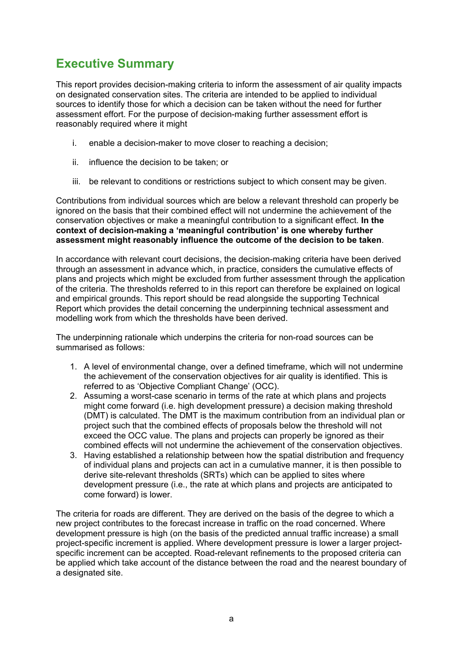# <span id="page-2-0"></span>**Executive Summary**

This report provides decision-making criteria to inform the assessment of air quality impacts on designated conservation sites. The criteria are intended to be applied to individual sources to identify those for which a decision can be taken without the need for further assessment effort. For the purpose of decision-making further assessment effort is reasonably required where it might

- i. enable a decision-maker to move closer to reaching a decision;
- ii. influence the decision to be taken; or
- iii. be relevant to conditions or restrictions subject to which consent may be given.

Contributions from individual sources which are below a relevant threshold can properly be ignored on the basis that their combined effect will not undermine the achievement of the conservation objectives or make a meaningful contribution to a significant effect. **In the context of decision-making a 'meaningful contribution' is one whereby further assessment might reasonably influence the outcome of the decision to be taken**.

In accordance with relevant court decisions, the decision-making criteria have been derived through an assessment in advance which, in practice, considers the cumulative effects of plans and projects which might be excluded from further assessment through the application of the criteria. The thresholds referred to in this report can therefore be explained on logical and empirical grounds. This report should be read alongside the supporting Technical Report which provides the detail concerning the underpinning technical assessment and modelling work from which the thresholds have been derived.

The underpinning rationale which underpins the criteria for non-road sources can be summarised as follows:

- 1. A level of environmental change, over a defined timeframe, which will not undermine the achievement of the conservation objectives for air quality is identified. This is referred to as 'Objective Compliant Change' (OCC).
- 2. Assuming a worst-case scenario in terms of the rate at which plans and projects might come forward (i.e. high development pressure) a decision making threshold (DMT) is calculated. The DMT is the maximum contribution from an individual plan or project such that the combined effects of proposals below the threshold will not exceed the OCC value. The plans and projects can properly be ignored as their combined effects will not undermine the achievement of the conservation objectives.
- 3. Having established a relationship between how the spatial distribution and frequency of individual plans and projects can act in a cumulative manner, it is then possible to derive site-relevant thresholds (SRTs) which can be applied to sites where development pressure (i.e., the rate at which plans and projects are anticipated to come forward) is lower.

The criteria for roads are different. They are derived on the basis of the degree to which a new project contributes to the forecast increase in traffic on the road concerned. Where development pressure is high (on the basis of the predicted annual traffic increase) a small project-specific increment is applied. Where development pressure is lower a larger projectspecific increment can be accepted. Road-relevant refinements to the proposed criteria can be applied which take account of the distance between the road and the nearest boundary of a designated site.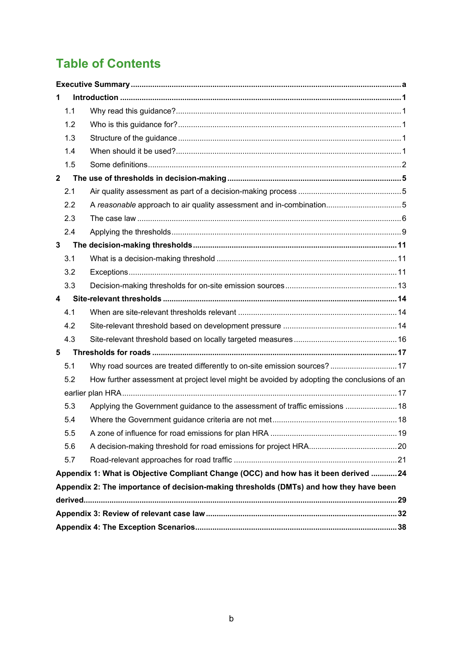# **Table of Contents**

| 1                                                                                   |                                                                                            |  |  |
|-------------------------------------------------------------------------------------|--------------------------------------------------------------------------------------------|--|--|
| 1.1                                                                                 |                                                                                            |  |  |
| 1.2                                                                                 |                                                                                            |  |  |
| 1.3                                                                                 |                                                                                            |  |  |
| 1.4                                                                                 |                                                                                            |  |  |
| 1.5                                                                                 |                                                                                            |  |  |
| $\overline{2}$                                                                      |                                                                                            |  |  |
| 2.1                                                                                 |                                                                                            |  |  |
| 2.2                                                                                 | A reasonable approach to air quality assessment and in-combination5                        |  |  |
| 2.3                                                                                 |                                                                                            |  |  |
| 2.4                                                                                 |                                                                                            |  |  |
| $\mathbf{3}$                                                                        |                                                                                            |  |  |
| 3.1                                                                                 |                                                                                            |  |  |
| 3.2                                                                                 |                                                                                            |  |  |
| 3.3                                                                                 |                                                                                            |  |  |
| $\overline{\mathbf{4}}$                                                             |                                                                                            |  |  |
| 4.1                                                                                 |                                                                                            |  |  |
| 4.2                                                                                 |                                                                                            |  |  |
| 4.3                                                                                 |                                                                                            |  |  |
| 5                                                                                   |                                                                                            |  |  |
| 5.1                                                                                 | Why road sources are treated differently to on-site emission sources?  17                  |  |  |
| 5.2                                                                                 | How further assessment at project level might be avoided by adopting the conclusions of an |  |  |
|                                                                                     |                                                                                            |  |  |
| 5.3                                                                                 | Applying the Government guidance to the assessment of traffic emissions  18                |  |  |
| 5.4                                                                                 |                                                                                            |  |  |
| 5.5                                                                                 |                                                                                            |  |  |
| 5.6                                                                                 |                                                                                            |  |  |
| 5.7                                                                                 |                                                                                            |  |  |
| Appendix 1: What is Objective Compliant Change (OCC) and how has it been derived 24 |                                                                                            |  |  |
|                                                                                     | Appendix 2: The importance of decision-making thresholds (DMTs) and how they have been     |  |  |
|                                                                                     |                                                                                            |  |  |
|                                                                                     |                                                                                            |  |  |
|                                                                                     |                                                                                            |  |  |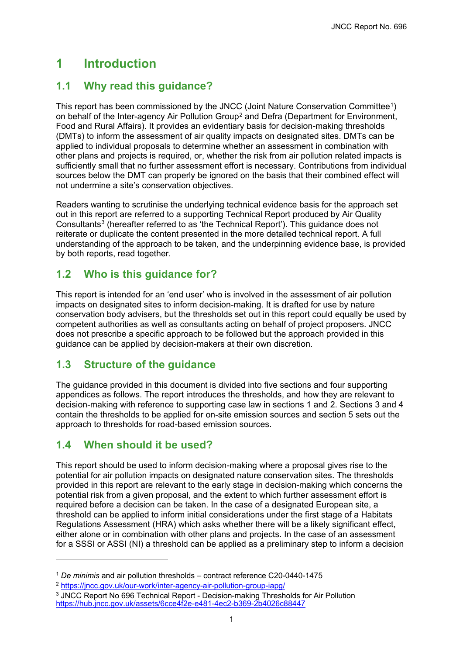# <span id="page-4-0"></span>**1 Introduction**

## <span id="page-4-1"></span>**1.1 Why read this guidance?**

This report has been commissioned by the JNCC (Joint Nature Conservation Committee<sup>[1](#page-4-5)</sup>) on behalf of the Inter-agency Air Pollution Group<sup>[2](#page-4-6)</sup> and Defra (Department for Environment, Food and Rural Affairs). It provides an evidentiary basis for decision-making thresholds (DMTs) to inform the assessment of air quality impacts on designated sites. DMTs can be applied to individual proposals to determine whether an assessment in combination with other plans and projects is required, or, whether the risk from air pollution related impacts is sufficiently small that no further assessment effort is necessary. Contributions from individual sources below the DMT can properly be ignored on the basis that their combined effect will not undermine a site's conservation objectives.

Readers wanting to scrutinise the underlying technical evidence basis for the approach set out in this report are referred to a supporting Technical Report produced by Air Quality Consultants[3](#page-4-7) (hereafter referred to as 'the Technical Report'). This guidance does not reiterate or duplicate the content presented in the more detailed technical report. A full understanding of the approach to be taken, and the underpinning evidence base, is provided by both reports, read together.

## <span id="page-4-2"></span>**1.2 Who is this guidance for?**

This report is intended for an 'end user' who is involved in the assessment of air pollution impacts on designated sites to inform decision-making. It is drafted for use by nature conservation body advisers, but the thresholds set out in this report could equally be used by competent authorities as well as consultants acting on behalf of project proposers. JNCC does not prescribe a specific approach to be followed but the approach provided in this guidance can be applied by decision-makers at their own discretion.

## <span id="page-4-3"></span>**1.3 Structure of the guidance**

The guidance provided in this document is divided into five sections and four supporting appendices as follows. The report introduces the thresholds, and how they are relevant to decision-making with reference to supporting case law in sections 1 and 2. Sections 3 and 4 contain the thresholds to be applied for on-site emission sources and section 5 sets out the approach to thresholds for road-based emission sources.

## <span id="page-4-4"></span>**1.4 When should it be used?**

This report should be used to inform decision-making where a proposal gives rise to the potential for air pollution impacts on designated nature conservation sites. The thresholds provided in this report are relevant to the early stage in decision-making which concerns the potential risk from a given proposal, and the extent to which further assessment effort is required before a decision can be taken. In the case of a designated European site, a threshold can be applied to inform initial considerations under the first stage of a Habitats Regulations Assessment (HRA) which asks whether there will be a likely significant effect, either alone or in combination with other plans and projects. In the case of an assessment for a SSSI or ASSI (NI) a threshold can be applied as a preliminary step to inform a decision

<span id="page-4-5"></span><sup>1</sup> *De minimis* and air pollution thresholds – contract reference C20-0440-1475

<span id="page-4-6"></span><sup>2</sup> <https://jncc.gov.uk/our-work/inter-agency-air-pollution-group-iapg/>

<span id="page-4-7"></span><sup>&</sup>lt;sup>3</sup> JNCC Report No 696 Technical Report - Decision-making Thresholds for Air Pollution https:[//hub.jncc.gov.uk/assets/6cce4f2e-e481-4ec2-b369-2b4026c88447](https://hub.jncc.gov.uk/assets/6cce4f2e-e481-4ec2-b369-2b4026c88447)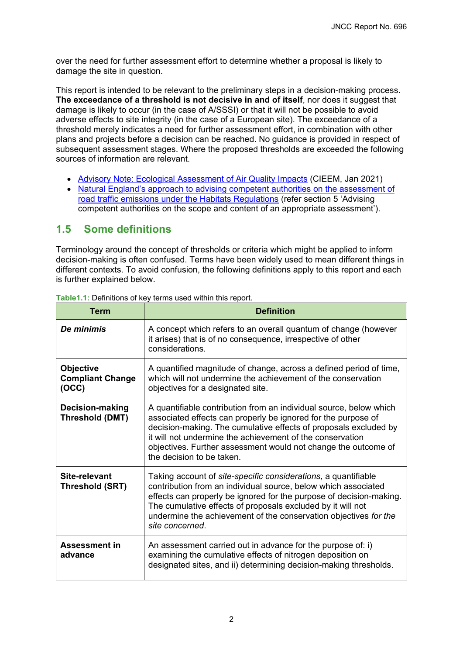over the need for further assessment effort to determine whether a proposal is likely to damage the site in question.

This report is intended to be relevant to the preliminary steps in a decision-making process. **The exceedance of a threshold is not decisive in and of itself**, nor does it suggest that damage is likely to occur (in the case of A/SSSI) or that it will not be possible to avoid adverse effects to site integrity (in the case of a European site). The exceedance of a threshold merely indicates a need for further assessment effort, in combination with other plans and projects before a decision can be reached. No guidance is provided in respect of subsequent assessment stages. Where the proposed thresholds are exceeded the following sources of information are relevant.

- [Advisory Note: Ecological Assessment of Air Quality Impacts](https://cieem.net/new-advisory-note-on-ecological-assessment-of-air-quality-impacts-published/) (CIEEM, Jan 2021)
- [Natural England's approach to advising competent authorities on the assessment of](http://publications.naturalengland.org.uk/publication/4720542048845824) [road traffic emissions under the Habitats Regulations](http://publications.naturalengland.org.uk/publication/4720542048845824) (refer section 5 'Advising competent authorities on the scope and content of an appropriate assessment').

### <span id="page-5-0"></span>**1.5 Some definitions**

Terminology around the concept of thresholds or criteria which might be applied to inform decision-making is often confused. Terms have been widely used to mean different things in different contexts. To avoid confusion, the following definitions apply to this report and each is further explained below.

| Term                                                 | <b>Definition</b>                                                                                                                                                                                                                                                                                                                                                   |  |  |
|------------------------------------------------------|---------------------------------------------------------------------------------------------------------------------------------------------------------------------------------------------------------------------------------------------------------------------------------------------------------------------------------------------------------------------|--|--|
| De minimis                                           | A concept which refers to an overall quantum of change (however<br>it arises) that is of no consequence, irrespective of other<br>considerations.                                                                                                                                                                                                                   |  |  |
| <b>Objective</b><br><b>Compliant Change</b><br>(OCC) | A quantified magnitude of change, across a defined period of time,<br>which will not undermine the achievement of the conservation<br>objectives for a designated site.                                                                                                                                                                                             |  |  |
| <b>Decision-making</b><br>Threshold (DMT)            | A quantifiable contribution from an individual source, below which<br>associated effects can properly be ignored for the purpose of<br>decision-making. The cumulative effects of proposals excluded by<br>it will not undermine the achievement of the conservation<br>objectives. Further assessment would not change the outcome of<br>the decision to be taken. |  |  |
| Site-relevant<br>Threshold (SRT)                     | Taking account of site-specific considerations, a quantifiable<br>contribution from an individual source, below which associated<br>effects can properly be ignored for the purpose of decision-making.<br>The cumulative effects of proposals excluded by it will not<br>undermine the achievement of the conservation objectives for the<br>site concerned.       |  |  |
| <b>Assessment in</b><br>advance                      | An assessment carried out in advance for the purpose of: i)<br>examining the cumulative effects of nitrogen deposition on<br>designated sites, and ii) determining decision-making thresholds.                                                                                                                                                                      |  |  |

**Table1.1:** Definitions of key terms used within this report.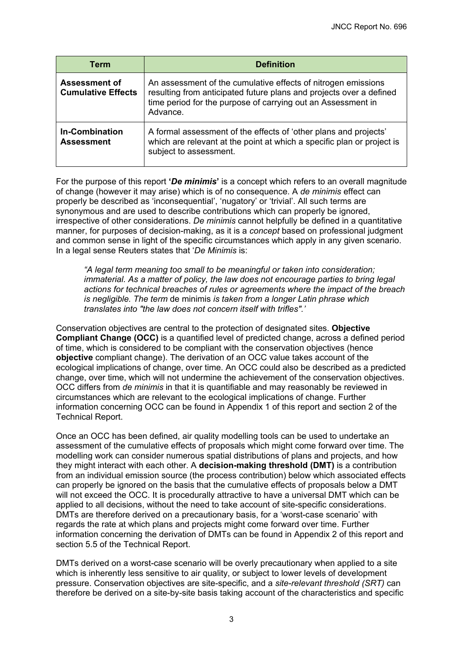| <b>Term</b>                                       | <b>Definition</b>                                                                                                                                                                                                |
|---------------------------------------------------|------------------------------------------------------------------------------------------------------------------------------------------------------------------------------------------------------------------|
| <b>Assessment of</b><br><b>Cumulative Effects</b> | An assessment of the cumulative effects of nitrogen emissions<br>resulting from anticipated future plans and projects over a defined<br>time period for the purpose of carrying out an Assessment in<br>Advance. |
| <b>In-Combination</b><br><b>Assessment</b>        | A formal assessment of the effects of 'other plans and projects'<br>which are relevant at the point at which a specific plan or project is<br>subject to assessment.                                             |

For the purpose of this report **'***De minimis***'** is a concept which refers to an overall magnitude of change (however it may arise) which is of no consequence. A *de minimis* effect can properly be described as 'inconsequential', 'nugatory' or 'trivial'. All such terms are synonymous and are used to describe contributions which can properly be ignored, irrespective of other considerations. *De minimis* cannot helpfully be defined in a quantitative manner, for purposes of decision-making, as it is a *concept* based on professional judgment and common sense in light of the specific circumstances which apply in any given scenario. In a legal sense Reuters states that '*De Minimis* is:

*"A legal term meaning too small to be meaningful or taken into consideration; immaterial. As a matter of policy, the law does not encourage parties to bring legal actions for technical breaches of rules or agreements where the impact of the breach is negligible. The term* de minimis *is taken from a longer Latin phrase which translates into "the law does not concern itself with trifles".'*

Conservation objectives are central to the protection of designated sites. **Objective Compliant Change (OCC)** is a quantified level of predicted change, across a defined period of time, which is considered to be compliant with the conservation objectives (hence **objective** compliant change). The derivation of an OCC value takes account of the ecological implications of change, over time. An OCC could also be described as a predicted change, over time, which will not undermine the achievement of the conservation objectives. OCC differs from *de minimis* in that it is quantifiable and may reasonably be reviewed in circumstances which are relevant to the ecological implications of change. Further information concerning OCC can be found in Appendix 1 of this report and section 2 of the Technical Report.

Once an OCC has been defined, air quality modelling tools can be used to undertake an assessment of the cumulative effects of proposals which might come forward over time. The modelling work can consider numerous spatial distributions of plans and projects, and how they might interact with each other. A **decision-making threshold (DMT)** is a contribution from an individual emission source (the process contribution) below which associated effects can properly be ignored on the basis that the cumulative effects of proposals below a DMT will not exceed the OCC. It is procedurally attractive to have a universal DMT which can be applied to all decisions, without the need to take account of site-specific considerations. DMTs are therefore derived on a precautionary basis, for a 'worst-case scenario' with regards the rate at which plans and projects might come forward over time. Further information concerning the derivation of DMTs can be found in Appendix 2 of this report and section 5.5 of the Technical Report.

DMTs derived on a worst-case scenario will be overly precautionary when applied to a site which is inherently less sensitive to air quality, or subject to lower levels of development pressure. Conservation objectives are site-specific, and a *site-relevant threshold (SRT)* can therefore be derived on a site-by-site basis taking account of the characteristics and specific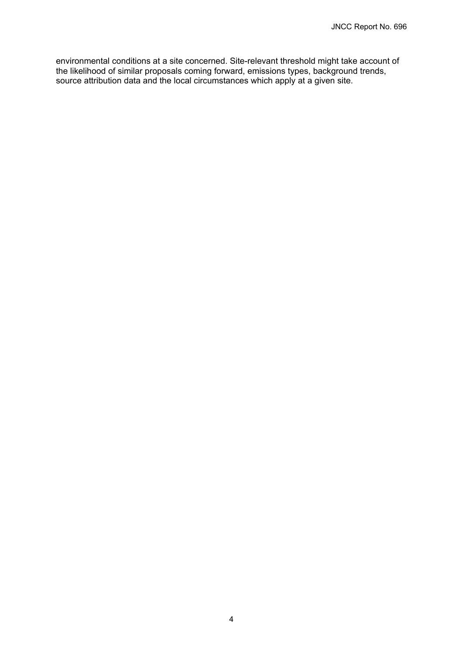environmental conditions at a site concerned. Site-relevant threshold might take account of the likelihood of similar proposals coming forward, emissions types, background trends, source attribution data and the local circumstances which apply at a given site.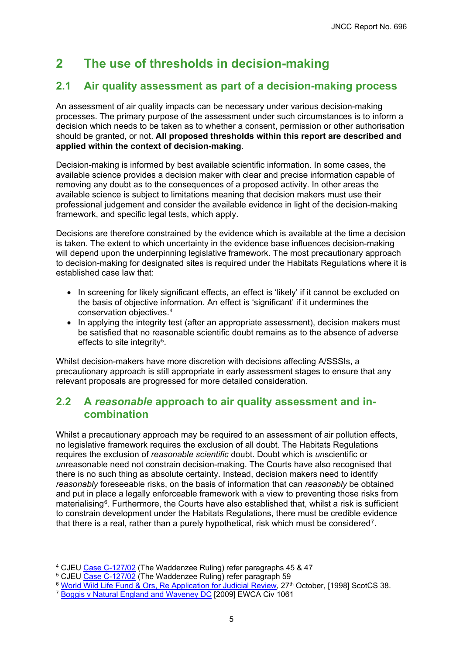# <span id="page-8-0"></span>**2 The use of thresholds in decision-making**

## <span id="page-8-1"></span>**2.1 Air quality assessment as part of a decision-making process**

An assessment of air quality impacts can be necessary under various decision-making processes. The primary purpose of the assessment under such circumstances is to inform a decision which needs to be taken as to whether a consent, permission or other authorisation should be granted, or not. **All proposed thresholds within this report are described and applied within the context of decision-making**.

Decision-making is informed by best available scientific information. In some cases, the available science provides a decision maker with clear and precise information capable of removing any doubt as to the consequences of a proposed activity. In other areas the available science is subject to limitations meaning that decision makers must use their professional judgement and consider the available evidence in light of the decision-making framework, and specific legal tests, which apply.

Decisions are therefore constrained by the evidence which is available at the time a decision is taken. The extent to which uncertainty in the evidence base influences decision-making will depend upon the underpinning legislative framework. The most precautionary approach to decision-making for designated sites is required under the Habitats Regulations where it is established case law that:

- In screening for likely significant effects, an effect is 'likely' if it cannot be excluded on the basis of objective information. An effect is 'significant' if it undermines the conservation objectives.[4](#page-8-3)
- In applying the integrity test (after an appropriate assessment), decision makers must be satisfied that no reasonable scientific doubt remains as to the absence of adverse effects to site integrity<sup>5</sup>.

Whilst decision-makers have more discretion with decisions affecting A/SSSIs, a precautionary approach is still appropriate in early assessment stages to ensure that any relevant proposals are progressed for more detailed consideration.

### <span id="page-8-2"></span>**2.2 A** *reasonable* **approach to air quality assessment and incombination**

Whilst a precautionary approach may be required to an assessment of air pollution effects, no legislative framework requires the exclusion of all doubt. The Habitats Regulations requires the exclusion of *reasonable scientific* doubt. Doubt which is *un*scientific or *un*reasonable need not constrain decision-making. The Courts have also recognised that there is no such thing as absolute certainty. Instead, decision makers need to identify *reasonably* foreseeable risks, on the basis of information that can *reasonably* be obtained and put in place a legally enforceable framework with a view to preventing those risks from materialising<sup>[6](#page-8-5)</sup>. Furthermore, the Courts have also established that, whilst a risk is sufficient to constrain development under the Habitats Regulations, there must be credible evidence that there is a real, rather than a purely hypothetical, risk which must be considered[7](#page-8-6).

<span id="page-8-3"></span><sup>&</sup>lt;sup>4</sup> CJEU [Case C-127/02](http://curia.europa.eu/juris/showPdf.jsf?text=&docid=49452&pageIndex=0&doclang=EN&mode=lst&dir=&occ=first&part=1&cid=408036) (The Waddenzee Ruling) refer paragraphs 45 & 47

<span id="page-8-4"></span><sup>&</sup>lt;sup>5</sup> CJEU <u>Case C-127/02</u> (The Waddenzee Ruling) refer paragraph 59

 $^6$  <u>[World Wild Life Fund & Ors, Re Application for Judicial Review,](https://www.bailii.org/scot/cases/ScotCS/1998/38.html)</u> 27 $^{\rm th}$  October, [1998] ScotCS 38.

<span id="page-8-6"></span><span id="page-8-5"></span><sup>&</sup>lt;sup>7</sup> [Boggis v Natural England and Waveney DC](https://www.bailii.org/ew/cases/EWCA/Civ/2009/1061.html) [2009] EWCA Civ 1061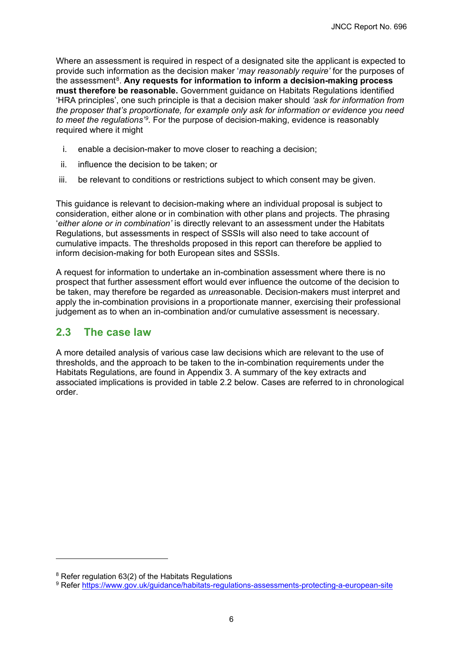Where an assessment is required in respect of a designated site the applicant is expected to provide such information as the decision maker '*may reasonably require'* for the purposes of the assessment[8](#page-9-1). **Any requests for information to inform a decision-making process must therefore be reasonable.** Government guidance on Habitats Regulations identified 'HRA principles', one such principle is that a decision maker should *'ask for information from the proposer that's proportionate, for example only ask for information or evidence you need*  to meet the regulations<sup>39</sup>. For the purpose of decision-making, evidence is reasonably required where it might

- i. enable a decision-maker to move closer to reaching a decision;
- ii. influence the decision to be taken; or
- iii. be relevant to conditions or restrictions subject to which consent may be given.

This guidance is relevant to decision-making where an individual proposal is subject to consideration, either alone or in combination with other plans and projects. The phrasing '*either alone or in combination'* is directly relevant to an assessment under the Habitats Regulations, but assessments in respect of SSSIs will also need to take account of cumulative impacts. The thresholds proposed in this report can therefore be applied to inform decision-making for both European sites and SSSIs.

A request for information to undertake an in-combination assessment where there is no prospect that further assessment effort would ever influence the outcome of the decision to be taken, may therefore be regarded as *un*reasonable. Decision-makers must interpret and apply the in-combination provisions in a proportionate manner, exercising their professional judgement as to when an in-combination and/or cumulative assessment is necessary.

### <span id="page-9-0"></span>**2.3 The case law**

A more detailed analysis of various case law decisions which are relevant to the use of thresholds, and the approach to be taken to the in-combination requirements under the Habitats Regulations, are found in Appendix 3. A summary of the key extracts and associated implications is provided in table 2.2 below. Cases are referred to in chronological order.

<span id="page-9-1"></span><sup>&</sup>lt;sup>8</sup> Refer regulation 63(2) of the Habitats Regulations

<span id="page-9-2"></span><sup>9</sup> Refer<https://www.gov.uk/guidance/habitats-regulations-assessments-protecting-a-european-site>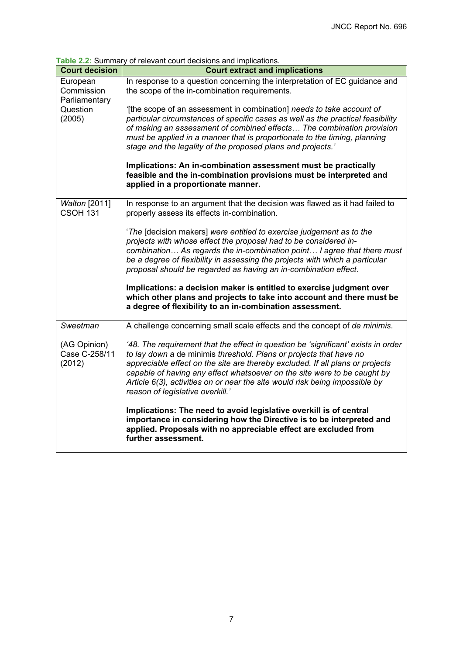**Table 2.2:** Summary of relevant court decisions and implications.

| able 2.2. Sufficially of relevant court decisions and implications. |                                                                                                                                                                                                                                                                                                                                                                                                                                         |  |  |
|---------------------------------------------------------------------|-----------------------------------------------------------------------------------------------------------------------------------------------------------------------------------------------------------------------------------------------------------------------------------------------------------------------------------------------------------------------------------------------------------------------------------------|--|--|
| <b>Court decision</b>                                               | <b>Court extract and implications</b>                                                                                                                                                                                                                                                                                                                                                                                                   |  |  |
| European<br>Commission<br>Parliamentary                             | In response to a question concerning the interpretation of EC guidance and<br>the scope of the in-combination requirements.                                                                                                                                                                                                                                                                                                             |  |  |
| Question<br>(2005)                                                  | [the scope of an assessment in combination] needs to take account of<br>particular circumstances of specific cases as well as the practical feasibility<br>of making an assessment of combined effects The combination provision<br>must be applied in a manner that is proportionate to the timing, planning<br>stage and the legality of the proposed plans and projects.'                                                            |  |  |
|                                                                     | Implications: An in-combination assessment must be practically<br>feasible and the in-combination provisions must be interpreted and<br>applied in a proportionate manner.                                                                                                                                                                                                                                                              |  |  |
| Walton [2011]<br><b>CSOH 131</b>                                    | In response to an argument that the decision was flawed as it had failed to<br>properly assess its effects in-combination.                                                                                                                                                                                                                                                                                                              |  |  |
|                                                                     | 'The [decision makers] were entitled to exercise judgement as to the<br>projects with whose effect the proposal had to be considered in-<br>combination As regards the in-combination point I agree that there must<br>be a degree of flexibility in assessing the projects with which a particular<br>proposal should be regarded as having an in-combination effect.                                                                  |  |  |
|                                                                     | Implications: a decision maker is entitled to exercise judgment over<br>which other plans and projects to take into account and there must be<br>a degree of flexibility to an in-combination assessment.                                                                                                                                                                                                                               |  |  |
| Sweetman                                                            | A challenge concerning small scale effects and the concept of de minimis.                                                                                                                                                                                                                                                                                                                                                               |  |  |
| (AG Opinion)<br>Case C-258/11<br>(2012)                             | '48. The requirement that the effect in question be 'significant' exists in order<br>to lay down a de minimis threshold. Plans or projects that have no<br>appreciable effect on the site are thereby excluded. If all plans or projects<br>capable of having any effect whatsoever on the site were to be caught by<br>Article 6(3), activities on or near the site would risk being impossible by<br>reason of legislative overkill.' |  |  |
|                                                                     | Implications: The need to avoid legislative overkill is of central<br>importance in considering how the Directive is to be interpreted and<br>applied. Proposals with no appreciable effect are excluded from<br>further assessment.                                                                                                                                                                                                    |  |  |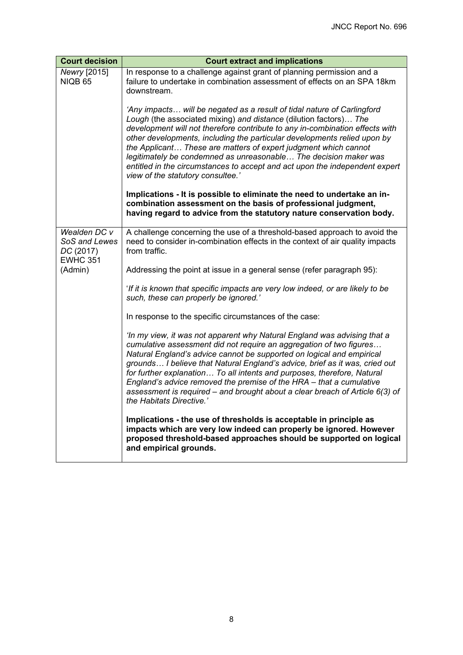| <b>Court decision</b>                                         | <b>Court extract and implications</b>                                                                                                                                                                                                                                                                                                                                                                                                                                                                                                                                   |  |  |
|---------------------------------------------------------------|-------------------------------------------------------------------------------------------------------------------------------------------------------------------------------------------------------------------------------------------------------------------------------------------------------------------------------------------------------------------------------------------------------------------------------------------------------------------------------------------------------------------------------------------------------------------------|--|--|
| Newry [2015]<br><b>NIQB 65</b>                                | In response to a challenge against grant of planning permission and a<br>failure to undertake in combination assessment of effects on an SPA 18km<br>downstream.                                                                                                                                                                                                                                                                                                                                                                                                        |  |  |
|                                                               | 'Any impacts will be negated as a result of tidal nature of Carlingford<br>Lough (the associated mixing) and distance (dilution factors) The<br>development will not therefore contribute to any in-combination effects with<br>other developments, including the particular developments relied upon by<br>the Applicant These are matters of expert judgment which cannot<br>legitimately be condemned as unreasonable The decision maker was<br>entitled in the circumstances to accept and act upon the independent expert<br>view of the statutory consultee.'     |  |  |
|                                                               | Implications - It is possible to eliminate the need to undertake an in-<br>combination assessment on the basis of professional judgment,<br>having regard to advice from the statutory nature conservation body.                                                                                                                                                                                                                                                                                                                                                        |  |  |
| Wealden DC v<br>SoS and Lewes<br>DC (2017)<br><b>EWHC 351</b> | A challenge concerning the use of a threshold-based approach to avoid the<br>need to consider in-combination effects in the context of air quality impacts<br>from traffic.                                                                                                                                                                                                                                                                                                                                                                                             |  |  |
| (Admin)                                                       | Addressing the point at issue in a general sense (refer paragraph 95):                                                                                                                                                                                                                                                                                                                                                                                                                                                                                                  |  |  |
|                                                               | 'If it is known that specific impacts are very low indeed, or are likely to be<br>such, these can properly be ignored.'                                                                                                                                                                                                                                                                                                                                                                                                                                                 |  |  |
|                                                               | In response to the specific circumstances of the case:                                                                                                                                                                                                                                                                                                                                                                                                                                                                                                                  |  |  |
|                                                               | 'In my view, it was not apparent why Natural England was advising that a<br>cumulative assessment did not require an aggregation of two figures<br>Natural England's advice cannot be supported on logical and empirical<br>grounds I believe that Natural England's advice, brief as it was, cried out<br>for further explanation To all intents and purposes, therefore, Natural<br>England's advice removed the premise of the HRA - that a cumulative<br>assessment is required – and brought about a clear breach of Article $6(3)$ of<br>the Habitats Directive.' |  |  |
|                                                               | Implications - the use of thresholds is acceptable in principle as<br>impacts which are very low indeed can properly be ignored. However<br>proposed threshold-based approaches should be supported on logical<br>and empirical grounds.                                                                                                                                                                                                                                                                                                                                |  |  |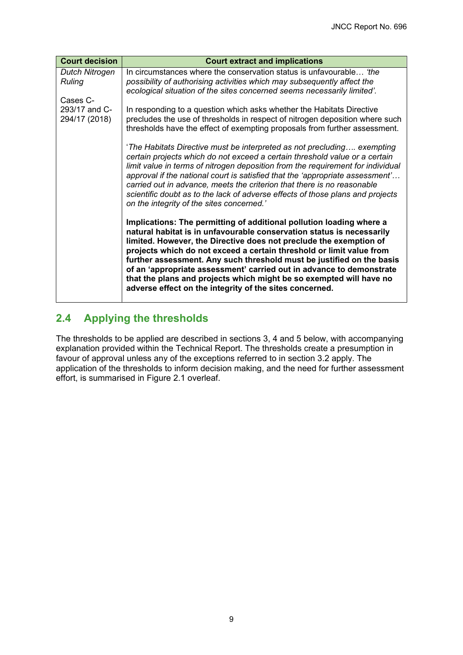| <b>Court decision</b>                      | <b>Court extract and implications</b>                                                                                                                                                                                                                                                                                                                                                                                                                                                                                                                                          |  |  |  |
|--------------------------------------------|--------------------------------------------------------------------------------------------------------------------------------------------------------------------------------------------------------------------------------------------------------------------------------------------------------------------------------------------------------------------------------------------------------------------------------------------------------------------------------------------------------------------------------------------------------------------------------|--|--|--|
| Dutch Nitrogen<br><b>Ruling</b>            | In circumstances where the conservation status is unfavourable 'the<br>possibility of authorising activities which may subsequently affect the<br>ecological situation of the sites concerned seems necessarily limited'.                                                                                                                                                                                                                                                                                                                                                      |  |  |  |
| Cases C-<br>293/17 and C-<br>294/17 (2018) | In responding to a question which asks whether the Habitats Directive<br>precludes the use of thresholds in respect of nitrogen deposition where such<br>thresholds have the effect of exempting proposals from further assessment.                                                                                                                                                                                                                                                                                                                                            |  |  |  |
|                                            | 'The Habitats Directive must be interpreted as not precluding exempting<br>certain projects which do not exceed a certain threshold value or a certain<br>limit value in terms of nitrogen deposition from the requirement for individual<br>approval if the national court is satisfied that the 'appropriate assessment'<br>carried out in advance, meets the criterion that there is no reasonable<br>scientific doubt as to the lack of adverse effects of those plans and projects<br>on the integrity of the sites concerned.'                                           |  |  |  |
|                                            | Implications: The permitting of additional pollution loading where a<br>natural habitat is in unfavourable conservation status is necessarily<br>limited. However, the Directive does not preclude the exemption of<br>projects which do not exceed a certain threshold or limit value from<br>further assessment. Any such threshold must be justified on the basis<br>of an 'appropriate assessment' carried out in advance to demonstrate<br>that the plans and projects which might be so exempted will have no<br>adverse effect on the integrity of the sites concerned. |  |  |  |

## <span id="page-12-0"></span>**2.4 Applying the thresholds**

The thresholds to be applied are described in sections 3, 4 and 5 below, with accompanying explanation provided within the Technical Report. The thresholds create a presumption in favour of approval unless any of the exceptions referred to in section 3.2 apply. The application of the thresholds to inform decision making, and the need for further assessment effort, is summarised in Figure 2.1 overleaf.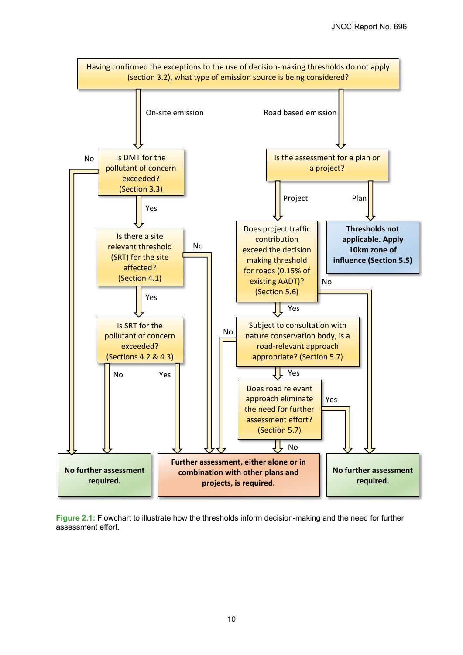

**Figure 2.1:** Flowchart to illustrate how the thresholds inform decision-making and the need for further assessment effort.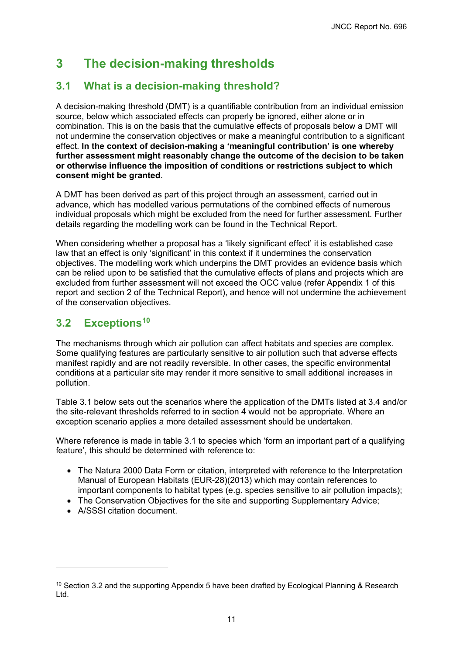# <span id="page-14-0"></span>**3 The decision-making thresholds**

## <span id="page-14-1"></span>**3.1 What is a decision-making threshold?**

A decision-making threshold (DMT) is a quantifiable contribution from an individual emission source, below which associated effects can properly be ignored, either alone or in combination. This is on the basis that the cumulative effects of proposals below a DMT will not undermine the conservation objectives or make a meaningful contribution to a significant effect. **In the context of decision-making a 'meaningful contribution' is one whereby further assessment might reasonably change the outcome of the decision to be taken or otherwise influence the imposition of conditions or restrictions subject to which consent might be granted**.

A DMT has been derived as part of this project through an assessment, carried out in advance, which has modelled various permutations of the combined effects of numerous individual proposals which might be excluded from the need for further assessment. Further details regarding the modelling work can be found in the Technical Report.

When considering whether a proposal has a 'likely significant effect' it is established case law that an effect is only 'significant' in this context if it undermines the conservation objectives. The modelling work which underpins the DMT provides an evidence basis which can be relied upon to be satisfied that the cumulative effects of plans and projects which are excluded from further assessment will not exceed the OCC value (refer Appendix 1 of this report and section 2 of the Technical Report), and hence will not undermine the achievement of the conservation objectives.

## <span id="page-14-2"></span>**3.2 Exceptions[10](#page-14-3)**

The mechanisms through which air pollution can affect habitats and species are complex. Some qualifying features are particularly sensitive to air pollution such that adverse effects manifest rapidly and are not readily reversible. In other cases, the specific environmental conditions at a particular site may render it more sensitive to small additional increases in pollution.

Table 3.1 below sets out the scenarios where the application of the DMTs listed at 3.4 and/or the site-relevant thresholds referred to in section 4 would not be appropriate. Where an exception scenario applies a more detailed assessment should be undertaken.

Where reference is made in table 3.1 to species which 'form an important part of a qualifying feature', this should be determined with reference to:

- The Natura 2000 Data Form or citation, interpreted with reference to the Interpretation Manual of European Habitats (EUR-28)(2013) which may contain references to important components to habitat types (e.g. species sensitive to air pollution impacts);
- The Conservation Objectives for the site and supporting Supplementary Advice;
- A/SSSI citation document.

<span id="page-14-3"></span> $10$  Section 3.2 and the supporting Appendix 5 have been drafted by Ecological Planning & Research Ltd.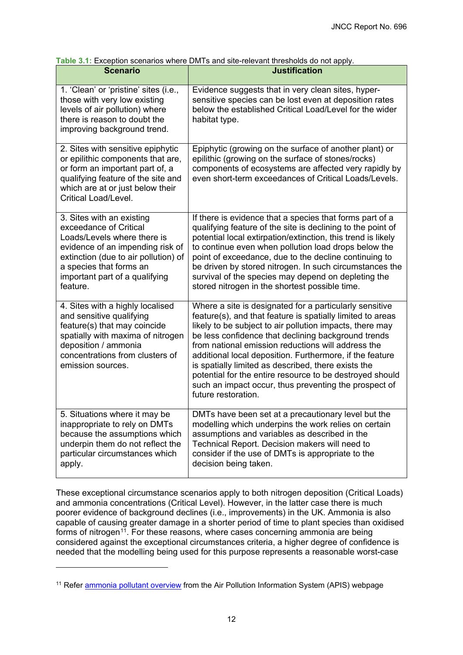| <b>Scenario</b>                                                                                                                                                                                                                         | <b>Justification</b>                                                                                                                                                                                                                                                                                                                                                                                                                                                                                                                                          |
|-----------------------------------------------------------------------------------------------------------------------------------------------------------------------------------------------------------------------------------------|---------------------------------------------------------------------------------------------------------------------------------------------------------------------------------------------------------------------------------------------------------------------------------------------------------------------------------------------------------------------------------------------------------------------------------------------------------------------------------------------------------------------------------------------------------------|
| 1. 'Clean' or 'pristine' sites (i.e.,<br>those with very low existing<br>levels of air pollution) where<br>there is reason to doubt the<br>improving background trend.                                                                  | Evidence suggests that in very clean sites, hyper-<br>sensitive species can be lost even at deposition rates<br>below the established Critical Load/Level for the wider<br>habitat type.                                                                                                                                                                                                                                                                                                                                                                      |
| 2. Sites with sensitive epiphytic<br>or epilithic components that are,<br>or form an important part of, a<br>qualifying feature of the site and<br>which are at or just below their<br><b>Critical Load/Level.</b>                      | Epiphytic (growing on the surface of another plant) or<br>epilithic (growing on the surface of stones/rocks)<br>components of ecosystems are affected very rapidly by<br>even short-term exceedances of Critical Loads/Levels.                                                                                                                                                                                                                                                                                                                                |
| 3. Sites with an existing<br>exceedance of Critical<br>Loads/Levels where there is<br>evidence of an impending risk of<br>extinction (due to air pollution) of<br>a species that forms an<br>important part of a qualifying<br>feature. | If there is evidence that a species that forms part of a<br>qualifying feature of the site is declining to the point of<br>potential local extirpation/extinction, this trend is likely<br>to continue even when pollution load drops below the<br>point of exceedance, due to the decline continuing to<br>be driven by stored nitrogen. In such circumstances the<br>survival of the species may depend on depleting the<br>stored nitrogen in the shortest possible time.                                                                                  |
| 4. Sites with a highly localised<br>and sensitive qualifying<br>feature(s) that may coincide<br>spatially with maxima of nitrogen<br>deposition / ammonia<br>concentrations from clusters of<br>emission sources.                       | Where a site is designated for a particularly sensitive<br>feature(s), and that feature is spatially limited to areas<br>likely to be subject to air pollution impacts, there may<br>be less confidence that declining background trends<br>from national emission reductions will address the<br>additional local deposition. Furthermore, if the feature<br>is spatially limited as described, there exists the<br>potential for the entire resource to be destroyed should<br>such an impact occur, thus preventing the prospect of<br>future restoration. |
| 5. Situations where it may be<br>inappropriate to rely on DMTs<br>because the assumptions which<br>underpin them do not reflect the<br>particular circumstances which<br>apply.                                                         | DMTs have been set at a precautionary level but the<br>modelling which underpins the work relies on certain<br>assumptions and variables as described in the<br>Technical Report. Decision makers will need to<br>consider if the use of DMTs is appropriate to the<br>decision being taken.                                                                                                                                                                                                                                                                  |

**Table 3.1:** Exception scenarios where DMTs and site-relevant thresholds do not apply.

These exceptional circumstance scenarios apply to both nitrogen deposition (Critical Loads) and ammonia concentrations (Critical Level). However, in the latter case there is much poorer evidence of background declines (i.e., improvements) in the UK. Ammonia is also capable of causing greater damage in a shorter period of time to plant species than oxidised forms of nitrogen<sup>11</sup>. For these reasons, where cases concerning ammonia are being considered against the exceptional circumstances criteria, a higher degree of confidence is needed that the modelling being used for this purpose represents a reasonable worst-case

<span id="page-15-0"></span><sup>&</sup>lt;sup>11</sup> Refer [ammonia pollutant overview](http://www.apis.ac.uk/overview/pollutants/overview_NH3.htm) from the Air Pollution Information System (APIS) webpage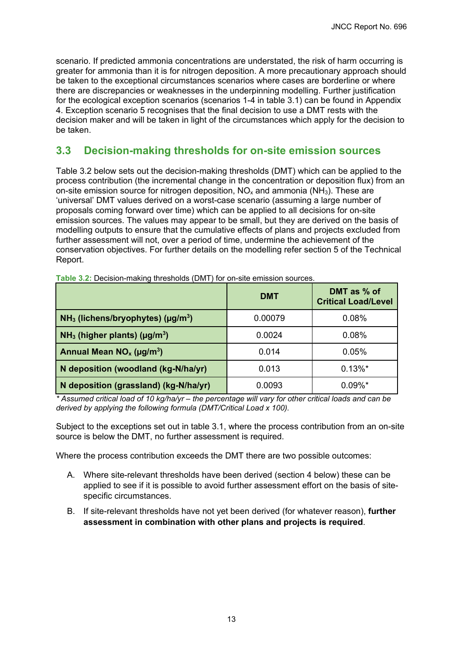scenario. If predicted ammonia concentrations are understated, the risk of harm occurring is greater for ammonia than it is for nitrogen deposition. A more precautionary approach should be taken to the exceptional circumstances scenarios where cases are borderline or where there are discrepancies or weaknesses in the underpinning modelling. Further justification for the ecological exception scenarios (scenarios 1-4 in table 3.1) can be found in Appendix 4. Exception scenario 5 recognises that the final decision to use a DMT rests with the decision maker and will be taken in light of the circumstances which apply for the decision to be taken.

### <span id="page-16-0"></span>**3.3 Decision-making thresholds for on-site emission sources**

Table 3.2 below sets out the decision-making thresholds (DMT) which can be applied to the process contribution (the incremental change in the concentration or deposition flux) from an on-site emission source for nitrogen deposition,  $NO<sub>x</sub>$  and ammonia ( $NH<sub>3</sub>$ ). These are 'universal' DMT values derived on a worst-case scenario (assuming a large number of proposals coming forward over time) which can be applied to all decisions for on-site emission sources. The values may appear to be small, but they are derived on the basis of modelling outputs to ensure that the cumulative effects of plans and projects excluded from further assessment will not, over a period of time, undermine the achievement of the conservation objectives. For further details on the modelling refer section 5 of the Technical Report.

|                                                  | <b>DMT</b> | DMT as % of<br><b>Critical Load/Level</b> |
|--------------------------------------------------|------------|-------------------------------------------|
| $NH3$ (lichens/bryophytes) (µg/m <sup>3</sup> )  | 0.00079    | 0.08%                                     |
| $NH3$ (higher plants) ( $\mu$ g/m <sup>3</sup> ) | 0.0024     | 0.08%                                     |
| Annual Mean $NO_x (µg/m^3)$                      | 0.014      | 0.05%                                     |
| N deposition (woodland (kg-N/ha/yr)              | 0.013      | $0.13\%$ *                                |
| N deposition (grassland) (kg-N/ha/yr)            | 0.0093     | $0.09\%$ *                                |

**Table 3.2:** Decision-making thresholds (DMT) for on-site emission sources.

*\* Assumed critical load of 10 kg/ha/yr – the percentage will vary for other critical loads and can be derived by applying the following formula (DMT/Critical Load x 100).*

Subject to the exceptions set out in table 3.1, where the process contribution from an on-site source is below the DMT, no further assessment is required.

Where the process contribution exceeds the DMT there are two possible outcomes:

- A. Where site-relevant thresholds have been derived (section 4 below) these can be applied to see if it is possible to avoid further assessment effort on the basis of sitespecific circumstances.
- B. If site-relevant thresholds have not yet been derived (for whatever reason), **further assessment in combination with other plans and projects is required**.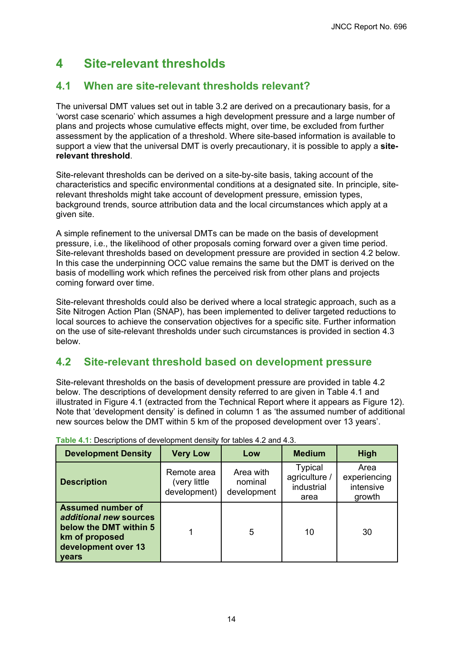# <span id="page-17-0"></span>**4 Site-relevant thresholds**

## <span id="page-17-1"></span>**4.1 When are site-relevant thresholds relevant?**

The universal DMT values set out in table 3.2 are derived on a precautionary basis, for a 'worst case scenario' which assumes a high development pressure and a large number of plans and projects whose cumulative effects might, over time, be excluded from further assessment by the application of a threshold. Where site-based information is available to support a view that the universal DMT is overly precautionary, it is possible to apply a **siterelevant threshold**.

Site-relevant thresholds can be derived on a site-by-site basis, taking account of the characteristics and specific environmental conditions at a designated site. In principle, siterelevant thresholds might take account of development pressure, emission types, background trends, source attribution data and the local circumstances which apply at a given site.

A simple refinement to the universal DMTs can be made on the basis of development pressure, i.e., the likelihood of other proposals coming forward over a given time period. Site-relevant thresholds based on development pressure are provided in section 4.2 below. In this case the underpinning OCC value remains the same but the DMT is derived on the basis of modelling work which refines the perceived risk from other plans and projects coming forward over time.

Site-relevant thresholds could also be derived where a local strategic approach, such as a Site Nitrogen Action Plan (SNAP), has been implemented to deliver targeted reductions to local sources to achieve the conservation objectives for a specific site. Further information on the use of site-relevant thresholds under such circumstances is provided in section 4.3 below.

## <span id="page-17-2"></span>**4.2 Site-relevant threshold based on development pressure**

Site-relevant thresholds on the basis of development pressure are provided in table 4.2 below. The descriptions of development density referred to are given in Table 4.1 and illustrated in Figure 4.1 (extracted from the Technical Report where it appears as Figure 12). Note that 'development density' is defined in column 1 as 'the assumed number of additional new sources below the DMT within 5 km of the proposed development over 13 years'.

| <b>Development Density</b>                                                                                                            | <b>Very Low</b>                             | Low                                 | <b>Medium</b>                                         | High                                        |
|---------------------------------------------------------------------------------------------------------------------------------------|---------------------------------------------|-------------------------------------|-------------------------------------------------------|---------------------------------------------|
| <b>Description</b>                                                                                                                    | Remote area<br>(very little<br>development) | Area with<br>nominal<br>development | <b>Typical</b><br>agriculture /<br>industrial<br>area | Area<br>experiencing<br>intensive<br>growth |
| <b>Assumed number of</b><br>additional new sources<br>below the DMT within 5<br>km of proposed<br>development over 13<br><b>vears</b> |                                             | 5                                   | 10                                                    | 30                                          |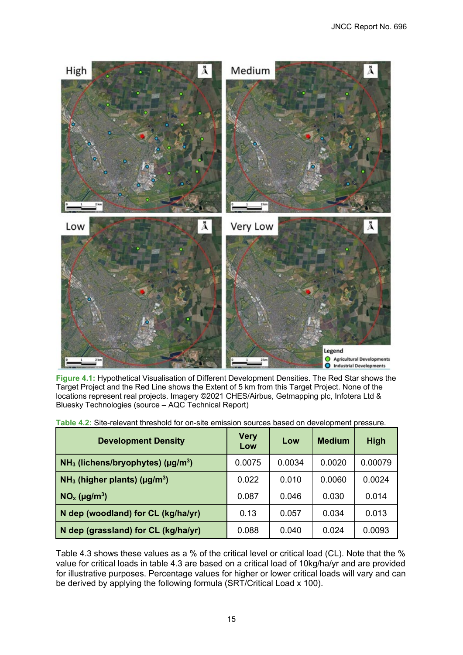

**Figure 4.1:** Hypothetical Visualisation of Different Development Densities. The Red Star shows the Target Project and the Red Line shows the Extent of 5 km from this Target Project. None of the locations represent real projects. Imagery ©2021 CHES/Airbus, Getmapping plc, Infotera Ltd & Bluesky Technologies (source – AQC Technical Report)

| <b>Development Density</b>                       | Very<br>Low | Low    | <b>Medium</b> | <b>High</b> |
|--------------------------------------------------|-------------|--------|---------------|-------------|
| $NH3$ (lichens/bryophytes) (µg/m <sup>3</sup> )  | 0.0075      | 0.0034 | 0.0020        | 0.00079     |
| $NH3$ (higher plants) ( $\mu$ g/m <sup>3</sup> ) | 0.022       | 0.010  | 0.0060        | 0.0024      |
| $NOx$ (µg/m <sup>3</sup> )                       | 0.087       | 0.046  | 0.030         | 0.014       |
| N dep (woodland) for CL (kg/ha/yr)               | 0.13        | 0.057  | 0.034         | 0.013       |
| N dep (grassland) for CL (kg/ha/yr)              | 0.088       | 0.040  | 0.024         | 0.0093      |

**Table 4.2:** Site-relevant threshold for on-site emission sources based on development pressure.

Table 4.3 shows these values as a % of the critical level or critical load (CL). Note that the % value for critical loads in table 4.3 are based on a critical load of 10kg/ha/yr and are provided for illustrative purposes. Percentage values for higher or lower critical loads will vary and can be derived by applying the following formula (SRT/Critical Load x 100).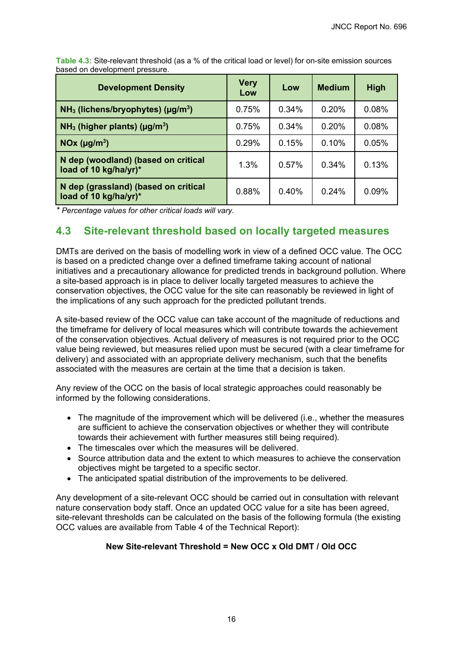**Development Density Very Low Low Medium High NH3 (lichens/bryophytes) (µg/m<sup>3</sup> )** 0.75% 0.34% 0.20% 0.08% **NH3 (higher plants) (µg/m<sup>3</sup> )** 0.75% 0.34% 0.20% 0.08% **NOx (µg/m<sup>3</sup> )** 0.29% 0.15% 0.10% 0.05% **N dep (woodland) (based on critical load of 10 kg/ha/yr)\*** 1.3% 0.57% 0.34% 0.13% **N dep (grassland) (based on critical load of 10 kg/ha/yr)\*** 0.88% 0.40% 0.24% 0.09%

**Table 4.3:** Site-relevant threshold (as a % of the critical load or level) for on-site emission sources based on development pressure.

*\* Percentage values for other critical loads will vary.* 

### <span id="page-19-0"></span>**4.3 Site-relevant threshold based on locally targeted measures**

DMTs are derived on the basis of modelling work in view of a defined OCC value. The OCC is based on a predicted change over a defined timeframe taking account of national initiatives and a precautionary allowance for predicted trends in background pollution. Where a site-based approach is in place to deliver locally targeted measures to achieve the conservation objectives, the OCC value for the site can reasonably be reviewed in light of the implications of any such approach for the predicted pollutant trends.

A site-based review of the OCC value can take account of the magnitude of reductions and the timeframe for delivery of local measures which will contribute towards the achievement of the conservation objectives. Actual delivery of measures is not required prior to the OCC value being reviewed, but measures relied upon must be secured (with a clear timeframe for delivery) and associated with an appropriate delivery mechanism, such that the benefits associated with the measures are certain at the time that a decision is taken.

Any review of the OCC on the basis of local strategic approaches could reasonably be informed by the following considerations.

- The magnitude of the improvement which will be delivered (i.e., whether the measures are sufficient to achieve the conservation objectives or whether they will contribute towards their achievement with further measures still being required).
- The timescales over which the measures will be delivered.
- Source attribution data and the extent to which measures to achieve the conservation objectives might be targeted to a specific sector.
- The anticipated spatial distribution of the improvements to be delivered.

Any development of a site-relevant OCC should be carried out in consultation with relevant nature conservation body staff. Once an updated OCC value for a site has been agreed, site-relevant thresholds can be calculated on the basis of the following formula (the existing OCC values are available from Table 4 of the Technical Report):

### **New Site-relevant Threshold = New OCC x Old DMT / Old OCC**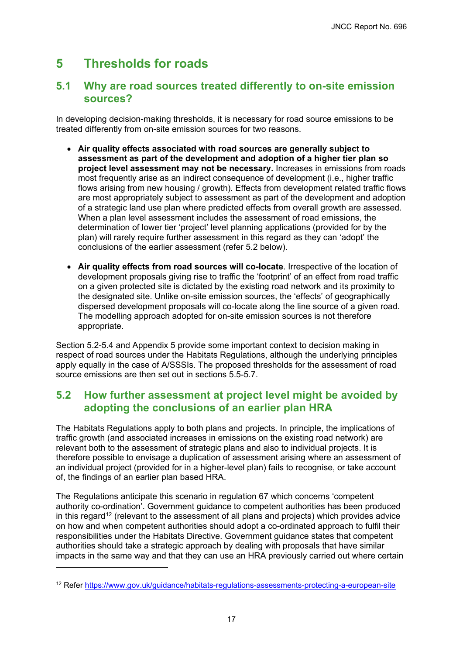# <span id="page-20-0"></span>**5 Thresholds for roads**

### <span id="page-20-1"></span>**5.1 Why are road sources treated differently to on-site emission sources?**

In developing decision-making thresholds, it is necessary for road source emissions to be treated differently from on-site emission sources for two reasons.

- **Air quality effects associated with road sources are generally subject to assessment as part of the development and adoption of a higher tier plan so project level assessment may not be necessary.** Increases in emissions from roads most frequently arise as an indirect consequence of development (i.e., higher traffic flows arising from new housing / growth). Effects from development related traffic flows are most appropriately subject to assessment as part of the development and adoption of a strategic land use plan where predicted effects from overall growth are assessed. When a plan level assessment includes the assessment of road emissions, the determination of lower tier 'project' level planning applications (provided for by the plan) will rarely require further assessment in this regard as they can 'adopt' the conclusions of the earlier assessment (refer 5.2 below).
- **Air quality effects from road sources will co-locate**. Irrespective of the location of development proposals giving rise to traffic the 'footprint' of an effect from road traffic on a given protected site is dictated by the existing road network and its proximity to the designated site. Unlike on-site emission sources, the 'effects' of geographically dispersed development proposals will co-locate along the line source of a given road. The modelling approach adopted for on-site emission sources is not therefore appropriate.

Section 5.2-5.4 and Appendix 5 provide some important context to decision making in respect of road sources under the Habitats Regulations, although the underlying principles apply equally in the case of A/SSSIs. The proposed thresholds for the assessment of road source emissions are then set out in sections 5.5-5.7.

### <span id="page-20-2"></span>**5.2 How further assessment at project level might be avoided by adopting the conclusions of an earlier plan HRA**

The Habitats Regulations apply to both plans and projects. In principle, the implications of traffic growth (and associated increases in emissions on the existing road network) are relevant both to the assessment of strategic plans and also to individual projects. It is therefore possible to envisage a duplication of assessment arising where an assessment of an individual project (provided for in a higher-level plan) fails to recognise, or take account of, the findings of an earlier plan based HRA.

The Regulations anticipate this scenario in regulation 67 which concerns 'competent authority co-ordination'. Government guidance to competent authorities has been produced in this regard<sup>[12](#page-20-3)</sup> (relevant to the assessment of all plans and projects) which provides advice on how and when competent authorities should adopt a co-ordinated approach to fulfil their responsibilities under the Habitats Directive. Government guidance states that competent authorities should take a strategic approach by dealing with proposals that have similar impacts in the same way and that they can use an HRA previously carried out where certain

<span id="page-20-3"></span><sup>12</sup> Refer<https://www.gov.uk/guidance/habitats-regulations-assessments-protecting-a-european-site>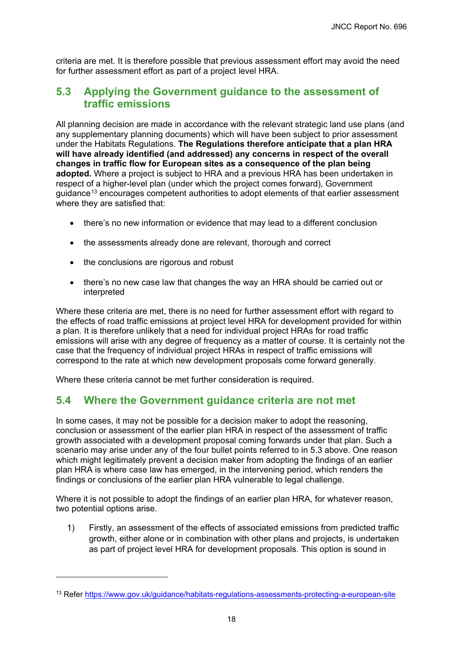criteria are met. It is therefore possible that previous assessment effort may avoid the need for further assessment effort as part of a project level HRA.

### <span id="page-21-0"></span>**5.3 Applying the Government guidance to the assessment of traffic emissions**

All planning decision are made in accordance with the relevant strategic land use plans (and any supplementary planning documents) which will have been subject to prior assessment under the Habitats Regulations. **The Regulations therefore anticipate that a plan HRA will have already identified (and addressed) any concerns in respect of the overall changes in traffic flow for European sites as a consequence of the plan being adopted.** Where a project is subject to HRA and a previous HRA has been undertaken in respect of a higher-level plan (under which the project comes forward), Government guidance<sup>[13](#page-21-2)</sup> encourages competent authorities to adopt elements of that earlier assessment where they are satisfied that:

- there's no new information or evidence that may lead to a different conclusion
- the assessments already done are relevant, thorough and correct
- the conclusions are rigorous and robust
- there's no new case law that changes the way an HRA should be carried out or interpreted

Where these criteria are met, there is no need for further assessment effort with regard to the effects of road traffic emissions at project level HRA for development provided for within a plan. It is therefore unlikely that a need for individual project HRAs for road traffic emissions will arise with any degree of frequency as a matter of course. It is certainly not the case that the frequency of individual project HRAs in respect of traffic emissions will correspond to the rate at which new development proposals come forward generally.

Where these criteria cannot be met further consideration is required.

### <span id="page-21-1"></span>**5.4 Where the Government guidance criteria are not met**

In some cases, it may not be possible for a decision maker to adopt the reasoning, conclusion or assessment of the earlier plan HRA in respect of the assessment of traffic growth associated with a development proposal coming forwards under that plan. Such a scenario may arise under any of the four bullet points referred to in 5.3 above. One reason which might legitimately prevent a decision maker from adopting the findings of an earlier plan HRA is where case law has emerged, in the intervening period, which renders the findings or conclusions of the earlier plan HRA vulnerable to legal challenge.

Where it is not possible to adopt the findings of an earlier plan HRA, for whatever reason, two potential options arise.

1) Firstly, an assessment of the effects of associated emissions from predicted traffic growth, either alone or in combination with other plans and projects, is undertaken as part of project level HRA for development proposals. This option is sound in

<span id="page-21-2"></span><sup>13</sup> Refer<https://www.gov.uk/guidance/habitats-regulations-assessments-protecting-a-european-site>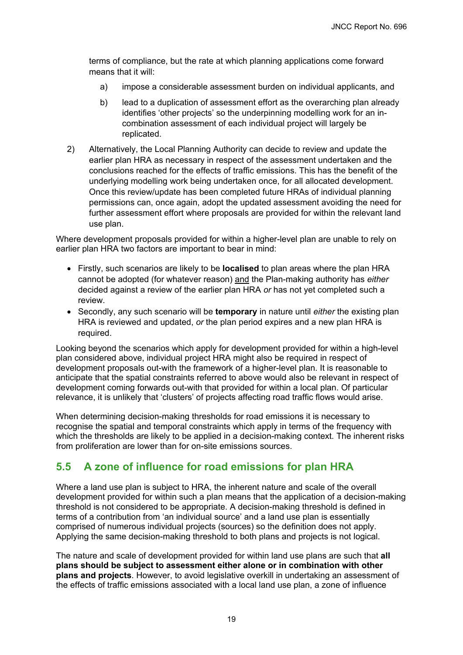terms of compliance, but the rate at which planning applications come forward means that it will:

- a) impose a considerable assessment burden on individual applicants, and
- b) lead to a duplication of assessment effort as the overarching plan already identifies 'other projects' so the underpinning modelling work for an incombination assessment of each individual project will largely be replicated.
- 2) Alternatively, the Local Planning Authority can decide to review and update the earlier plan HRA as necessary in respect of the assessment undertaken and the conclusions reached for the effects of traffic emissions. This has the benefit of the underlying modelling work being undertaken once, for all allocated development. Once this review/update has been completed future HRAs of individual planning permissions can, once again, adopt the updated assessment avoiding the need for further assessment effort where proposals are provided for within the relevant land use plan.

Where development proposals provided for within a higher-level plan are unable to rely on earlier plan HRA two factors are important to bear in mind:

- Firstly, such scenarios are likely to be **localised** to plan areas where the plan HRA cannot be adopted (for whatever reason) and the Plan-making authority has *either* decided against a review of the earlier plan HRA *or* has not yet completed such a review.
- Secondly, any such scenario will be **temporary** in nature until *either* the existing plan HRA is reviewed and updated, *or* the plan period expires and a new plan HRA is required.

Looking beyond the scenarios which apply for development provided for within a high-level plan considered above, individual project HRA might also be required in respect of development proposals out-with the framework of a higher-level plan. It is reasonable to anticipate that the spatial constraints referred to above would also be relevant in respect of development coming forwards out-with that provided for within a local plan. Of particular relevance, it is unlikely that 'clusters' of projects affecting road traffic flows would arise.

When determining decision-making thresholds for road emissions it is necessary to recognise the spatial and temporal constraints which apply in terms of the frequency with which the thresholds are likely to be applied in a decision-making context. The inherent risks from proliferation are lower than for on-site emissions sources.

## <span id="page-22-0"></span>**5.5 A zone of influence for road emissions for plan HRA**

Where a land use plan is subject to HRA, the inherent nature and scale of the overall development provided for within such a plan means that the application of a decision-making threshold is not considered to be appropriate. A decision-making threshold is defined in terms of a contribution from 'an individual source' and a land use plan is essentially comprised of numerous individual projects (sources) so the definition does not apply. Applying the same decision-making threshold to both plans and projects is not logical.

The nature and scale of development provided for within land use plans are such that **all plans should be subject to assessment either alone or in combination with other plans and projects**. However, to avoid legislative overkill in undertaking an assessment of the effects of traffic emissions associated with a local land use plan, a zone of influence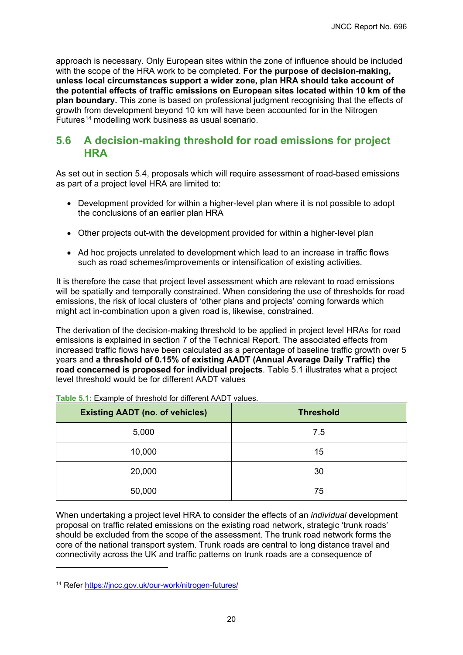approach is necessary. Only European sites within the zone of influence should be included with the scope of the HRA work to be completed. **For the purpose of decision-making, unless local circumstances support a wider zone, plan HRA should take account of the potential effects of traffic emissions on European sites located within 10 km of the plan boundary.** This zone is based on professional judgment recognising that the effects of growth from development beyond 10 km will have been accounted for in the Nitrogen Futures<sup>[14](#page-23-1)</sup> modelling work business as usual scenario.

### <span id="page-23-0"></span>**5.6 A decision-making threshold for road emissions for project HRA**

As set out in section 5.4, proposals which will require assessment of road-based emissions as part of a project level HRA are limited to:

- Development provided for within a higher-level plan where it is not possible to adopt the conclusions of an earlier plan HRA
- Other projects out-with the development provided for within a higher-level plan
- Ad hoc projects unrelated to development which lead to an increase in traffic flows such as road schemes/improvements or intensification of existing activities.

It is therefore the case that project level assessment which are relevant to road emissions will be spatially and temporally constrained. When considering the use of thresholds for road emissions, the risk of local clusters of 'other plans and projects' coming forwards which might act in-combination upon a given road is, likewise, constrained.

The derivation of the decision-making threshold to be applied in project level HRAs for road emissions is explained in section 7 of the Technical Report. The associated effects from increased traffic flows have been calculated as a percentage of baseline traffic growth over 5 years and **a threshold of 0.15% of existing AADT (Annual Average Daily Traffic) the road concerned is proposed for individual projects**. Table 5.1 illustrates what a project level threshold would be for different AADT values

| <b>Existing AADT (no. of vehicles)</b> | <b>Threshold</b> |
|----------------------------------------|------------------|
| 5,000                                  | 7.5              |
| 10,000                                 | 15               |
| 20,000                                 | 30               |
| 50,000                                 | 75               |

**Table 5.1:** Example of threshold for different AADT values.

When undertaking a project level HRA to consider the effects of an *individual* development proposal on traffic related emissions on the existing road network, strategic 'trunk roads' should be excluded from the scope of the assessment. The trunk road network forms the core of the national transport system. Trunk roads are central to long distance travel and connectivity across the UK and traffic patterns on trunk roads are a consequence of

<span id="page-23-1"></span><sup>14</sup> Refer<https://jncc.gov.uk/our-work/nitrogen-futures/>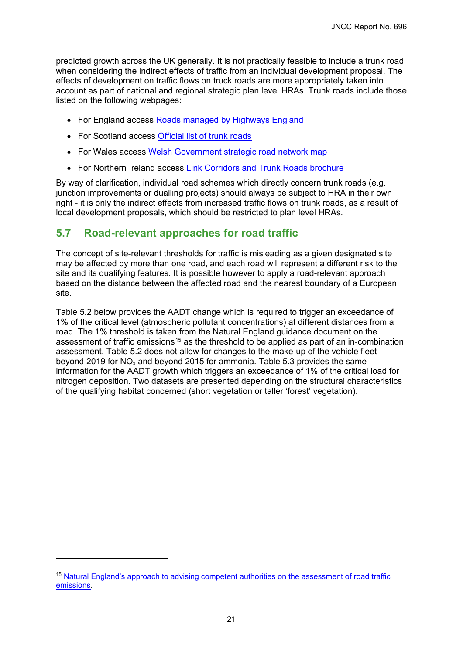predicted growth across the UK generally. It is not practically feasible to include a trunk road when considering the indirect effects of traffic from an individual development proposal. The effects of development on traffic flows on truck roads are more appropriately taken into account as part of national and regional strategic plan level HRAs. Trunk roads include those listed on the following webpages:

- For England access [Roads managed by Highways England](https://www.gov.uk/government/publications/roads-managed-by-highways-england)
- For Scotland access [Official list of trunk roads](https://www.transport.gov.scot/publication/official-list-of-trunk-roads/)
- For Wales access Welsh Government strategic road network map
- For Northern Ireland access [Link Corridors and Trunk Roads brochure](https://www.infrastructure-ni.gov.uk/publications/link-corridors-and-trunk-roads-brochure)

By way of clarification, individual road schemes which directly concern trunk roads (e.g. junction improvements or dualling projects) should always be subject to HRA in their own right - it is only the indirect effects from increased traffic flows on trunk roads, as a result of local development proposals, which should be restricted to plan level HRAs.

### <span id="page-24-0"></span>**5.7 Road-relevant approaches for road traffic**

The concept of site-relevant thresholds for traffic is misleading as a given designated site may be affected by more than one road, and each road will represent a different risk to the site and its qualifying features. It is possible however to apply a road-relevant approach based on the distance between the affected road and the nearest boundary of a European site.

Table 5.2 below provides the AADT change which is required to trigger an exceedance of 1% of the critical level (atmospheric pollutant concentrations) at different distances from a road. The 1% threshold is taken from the Natural England guidance document on the assessment of traffic emissions<sup>[15](#page-24-1)</sup> as the threshold to be applied as part of an in-combination assessment. Table 5.2 does not allow for changes to the make-up of the vehicle fleet beyond 2019 for  $NO<sub>x</sub>$  and beyond 2015 for ammonia. Table 5.3 provides the same information for the AADT growth which triggers an exceedance of 1% of the critical load for nitrogen deposition. Two datasets are presented depending on the structural characteristics of the qualifying habitat concerned (short vegetation or taller 'forest' vegetation).

<span id="page-24-1"></span><sup>&</sup>lt;sup>15</sup> Natural England's approach to advising competent authorities on the assessment of road traffic [emissions.](http://publications.naturalengland.org.uk/publication/4720542048845824)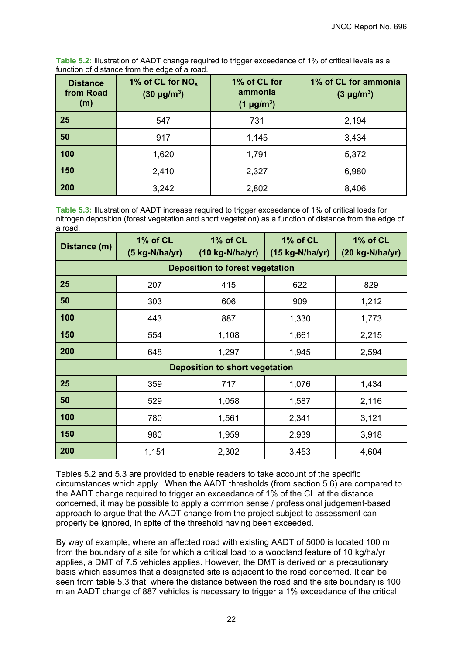| <b>Distance</b><br>from Road<br>(m) | 1% of CL for $NO_x$<br>$(30 \text{ µg/m}^3)$ | 1% of CL for<br>ammonia<br>$(1 \mu g/m^3)$ | 1% of CL for ammonia<br>$(3 \mu g/m^3)$ |
|-------------------------------------|----------------------------------------------|--------------------------------------------|-----------------------------------------|
| 25                                  | 547                                          | 731                                        | 2,194                                   |
| 50                                  | 917                                          | 1,145                                      | 3,434                                   |
| 100                                 | 1,620                                        | 1,791                                      | 5,372                                   |
| 150                                 | 2,410                                        | 2,327                                      | 6,980                                   |
| 200                                 | 3,242                                        | 2,802                                      | 8,406                                   |

**Table 5.2:** Illustration of AADT change required to trigger exceedance of 1% of critical levels as a function of distance from the edge of a road.

**Table 5.3:** Illustration of AADT increase required to trigger exceedance of 1% of critical loads for nitrogen deposition (forest vegetation and short vegetation) as a function of distance from the edge of a road.

| Distance (m)                           | 1% of CL<br>$(5 kg-N/ha/yr)$ | 1% of CL<br>$(10 kg-N/ha/yr)$ | 1% of CL<br>$(15 kg-N/ha/yr)$ | 1% of CL<br>$(20 kg-N/ha/yr)$ |  |  |  |
|----------------------------------------|------------------------------|-------------------------------|-------------------------------|-------------------------------|--|--|--|
| <b>Deposition to forest vegetation</b> |                              |                               |                               |                               |  |  |  |
| 25                                     | 207                          | 415                           | 622                           | 829                           |  |  |  |
| 50                                     | 303                          | 606                           | 909                           | 1,212                         |  |  |  |
| 100                                    | 443                          | 887                           | 1,330                         | 1,773                         |  |  |  |
| 150                                    | 554                          | 1,108                         | 1,661                         | 2,215                         |  |  |  |
| 200                                    | 648                          | 1,297                         | 1,945                         | 2,594                         |  |  |  |
| <b>Deposition to short vegetation</b>  |                              |                               |                               |                               |  |  |  |
| 25                                     | 359                          | 717                           | 1,076                         | 1,434                         |  |  |  |
| 50                                     | 529                          | 1,058                         | 1,587                         | 2,116                         |  |  |  |
| 100                                    | 780                          | 1,561                         | 2,341                         | 3,121                         |  |  |  |
| 150                                    | 980                          | 1,959                         | 2,939                         | 3,918                         |  |  |  |
| 200                                    | 1,151                        | 2,302                         | 3,453                         | 4,604                         |  |  |  |

Tables 5.2 and 5.3 are provided to enable readers to take account of the specific circumstances which apply. When the AADT thresholds (from section 5.6) are compared to the AADT change required to trigger an exceedance of 1% of the CL at the distance concerned, it may be possible to apply a common sense / professional judgement-based approach to argue that the AADT change from the project subject to assessment can properly be ignored, in spite of the threshold having been exceeded.

By way of example, where an affected road with existing AADT of 5000 is located 100 m from the boundary of a site for which a critical load to a woodland feature of 10 kg/ha/yr applies, a DMT of 7.5 vehicles applies. However, the DMT is derived on a precautionary basis which assumes that a designated site is adjacent to the road concerned. It can be seen from table 5.3 that, where the distance between the road and the site boundary is 100 m an AADT change of 887 vehicles is necessary to trigger a 1% exceedance of the critical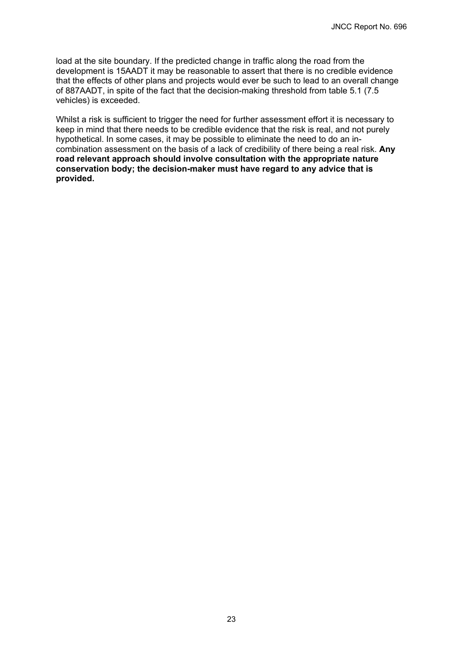load at the site boundary. If the predicted change in traffic along the road from the development is 15AADT it may be reasonable to assert that there is no credible evidence that the effects of other plans and projects would ever be such to lead to an overall change of 887AADT, in spite of the fact that the decision-making threshold from table 5.1 (7.5 vehicles) is exceeded.

Whilst a risk is sufficient to trigger the need for further assessment effort it is necessary to keep in mind that there needs to be credible evidence that the risk is real, and not purely hypothetical. In some cases, it may be possible to eliminate the need to do an incombination assessment on the basis of a lack of credibility of there being a real risk. **Any road relevant approach should involve consultation with the appropriate nature conservation body; the decision-maker must have regard to any advice that is provided.**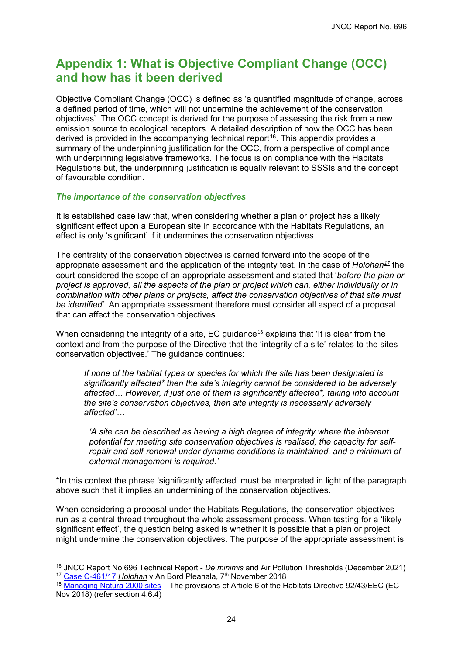# <span id="page-27-0"></span>**Appendix 1: What is Objective Compliant Change (OCC) and how has it been derived**

Objective Compliant Change (OCC) is defined as 'a quantified magnitude of change, across a defined period of time, which will not undermine the achievement of the conservation objectives'. The OCC concept is derived for the purpose of assessing the risk from a new emission source to ecological receptors. A detailed description of how the OCC has been derived is provided in the accompanying technical report<sup>16</sup>. This appendix provides a summary of the underpinning justification for the OCC, from a perspective of compliance with underpinning legislative frameworks. The focus is on compliance with the Habitats Regulations but, the underpinning justification is equally relevant to SSSIs and the concept of favourable condition.

#### *The importance of the conservation objectives*

It is established case law that, when considering whether a plan or project has a likely significant effect upon a European site in accordance with the Habitats Regulations, an effect is only 'significant' if it undermines the conservation objectives.

The centrality of the conservation objectives is carried forward into the scope of the appropriate assessment and the application of the integrity test. In the case of *Holohan[17](#page-27-2)* the court considered the scope of an appropriate assessment and stated that '*before the plan or project is approved, all the aspects of the plan or project which can, either individually or in combination with other plans or projects, affect the conservation objectives of that site must be identified'*. An appropriate assessment therefore must consider all aspect of a proposal that can affect the conservation objectives.

When considering the integrity of a site, EC guidance<sup>[18](#page-27-3)</sup> explains that 'It is clear from the context and from the purpose of the Directive that the 'integrity of a site' relates to the sites conservation objectives.' The guidance continues:

*If none of the habitat types or species for which the site has been designated is significantly affected\* then the site's integrity cannot be considered to be adversely affected… However, if just one of them is significantly affected\*, taking into account the site's conservation objectives, then site integrity is necessarily adversely affected'…*

*'A site can be described as having a high degree of integrity where the inherent potential for meeting site conservation objectives is realised, the capacity for selfrepair and self-renewal under dynamic conditions is maintained, and a minimum of external management is required.'*

\*In this context the phrase 'significantly affected' must be interpreted in light of the paragraph above such that it implies an undermining of the conservation objectives.

When considering a proposal under the Habitats Regulations, the conservation objectives run as a central thread throughout the whole assessment process. When testing for a 'likely significant effect', the question being asked is whether it is possible that a plan or project might undermine the conservation objectives. The purpose of the appropriate assessment is

<span id="page-27-1"></span><sup>16</sup> JNCC Report No 696 Technical Report - *De minimis* and Air Pollution Thresholds (December 2021) <sup>17</sup> [Case C-461/17](http://curia.europa.eu/juris/document/document.jsf?text=&docid=207428&pageIndex=0&doclang=EN&mode=lst&dir=&occ=first&part=1&cid=1650356) *Holohan* v An Bord Pleanala, 7<sup>th</sup> November 2018

<span id="page-27-3"></span><span id="page-27-2"></span><sup>&</sup>lt;sup>18</sup> [Managing Natura 2000 sites](https://ec.europa.eu/environment/nature/natura2000/management/guidance_en.htm) – The provisions of Article 6 of the Habitats Directive 92/43/EEC (EC Nov 2018) (refer section 4.6.4)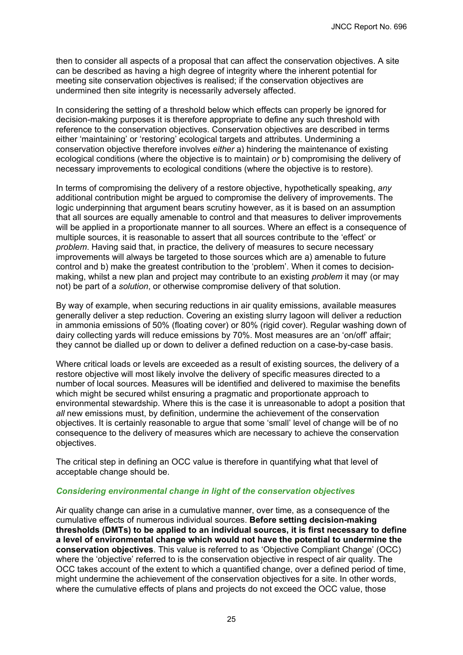then to consider all aspects of a proposal that can affect the conservation objectives. A site can be described as having a high degree of integrity where the inherent potential for meeting site conservation objectives is realised; if the conservation objectives are undermined then site integrity is necessarily adversely affected.

In considering the setting of a threshold below which effects can properly be ignored for decision-making purposes it is therefore appropriate to define any such threshold with reference to the conservation objectives. Conservation objectives are described in terms either 'maintaining' or 'restoring' ecological targets and attributes. Undermining a conservation objective therefore involves *either* a) hindering the maintenance of existing ecological conditions (where the objective is to maintain) *or* b) compromising the delivery of necessary improvements to ecological conditions (where the objective is to restore).

In terms of compromising the delivery of a restore objective, hypothetically speaking, *any* additional contribution might be argued to compromise the delivery of improvements. The logic underpinning that argument bears scrutiny however, as it is based on an assumption that all sources are equally amenable to control and that measures to deliver improvements will be applied in a proportionate manner to all sources. Where an effect is a consequence of multiple sources, it is reasonable to assert that all sources contribute to the 'effect' or *problem*. Having said that, in practice, the delivery of measures to secure necessary improvements will always be targeted to those sources which are a) amenable to future control and b) make the greatest contribution to the 'problem'. When it comes to decisionmaking, whilst a new plan and project may contribute to an existing *problem* it may (or may not) be part of a *solution*, or otherwise compromise delivery of that solution.

By way of example, when securing reductions in air quality emissions, available measures generally deliver a step reduction. Covering an existing slurry lagoon will deliver a reduction in ammonia emissions of 50% (floating cover) or 80% (rigid cover). Regular washing down of dairy collecting yards will reduce emissions by 70%. Most measures are an 'on/off' affair; they cannot be dialled up or down to deliver a defined reduction on a case-by-case basis.

Where critical loads or levels are exceeded as a result of existing sources, the delivery of a restore objective will most likely involve the delivery of specific measures directed to a number of local sources. Measures will be identified and delivered to maximise the benefits which might be secured whilst ensuring a pragmatic and proportionate approach to environmental stewardship. Where this is the case it is unreasonable to adopt a position that *all* new emissions must, by definition, undermine the achievement of the conservation objectives. It is certainly reasonable to argue that some 'small' level of change will be of no consequence to the delivery of measures which are necessary to achieve the conservation objectives.

The critical step in defining an OCC value is therefore in quantifying what that level of acceptable change should be.

#### *Considering environmental change in light of the conservation objectives*

Air quality change can arise in a cumulative manner, over time, as a consequence of the cumulative effects of numerous individual sources. **Before setting decision-making thresholds (DMTs) to be applied to an individual sources, it is first necessary to define a level of environmental change which would not have the potential to undermine the conservation objectives**. This value is referred to as 'Objective Compliant Change' (OCC) where the 'objective' referred to is the conservation objective in respect of air quality. The OCC takes account of the extent to which a quantified change, over a defined period of time, might undermine the achievement of the conservation objectives for a site. In other words, where the cumulative effects of plans and projects do not exceed the OCC value, those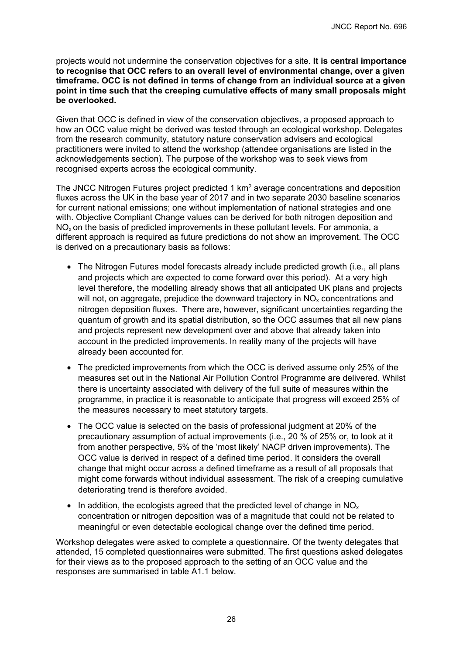projects would not undermine the conservation objectives for a site. **It is central importance to recognise that OCC refers to an overall level of environmental change, over a given timeframe. OCC is not defined in terms of change from an individual source at a given point in time such that the creeping cumulative effects of many small proposals might be overlooked.**

Given that OCC is defined in view of the conservation objectives, a proposed approach to how an OCC value might be derived was tested through an ecological workshop. Delegates from the research community, statutory nature conservation advisers and ecological practitioners were invited to attend the workshop (attendee organisations are listed in the acknowledgements section). The purpose of the workshop was to seek views from recognised experts across the ecological community.

The JNCC Nitrogen Futures project predicted 1 km<sup>2</sup> average concentrations and deposition fluxes across the UK in the base year of 2017 and in two separate 2030 baseline scenarios for current national emissions; one without implementation of national strategies and one with. Objective Compliant Change values can be derived for both nitrogen deposition and  $NO<sub>x</sub>$  on the basis of predicted improvements in these pollutant levels. For ammonia, a different approach is required as future predictions do not show an improvement. The OCC is derived on a precautionary basis as follows:

- The Nitrogen Futures model forecasts already include predicted growth (i.e., all plans and projects which are expected to come forward over this period). At a very high level therefore, the modelling already shows that all anticipated UK plans and projects will not, on aggregate, prejudice the downward trajectory in  $NO<sub>x</sub>$  concentrations and nitrogen deposition fluxes. There are, however, significant uncertainties regarding the quantum of growth and its spatial distribution, so the OCC assumes that all new plans and projects represent new development over and above that already taken into account in the predicted improvements. In reality many of the projects will have already been accounted for.
- The predicted improvements from which the OCC is derived assume only 25% of the measures set out in the National Air Pollution Control Programme are delivered. Whilst there is uncertainty associated with delivery of the full suite of measures within the programme, in practice it is reasonable to anticipate that progress will exceed 25% of the measures necessary to meet statutory targets.
- The OCC value is selected on the basis of professional judgment at 20% of the precautionary assumption of actual improvements (i.e., 20 % of 25% or, to look at it from another perspective, 5% of the 'most likely' NACP driven improvements). The OCC value is derived in respect of a defined time period. It considers the overall change that might occur across a defined timeframe as a result of all proposals that might come forwards without individual assessment. The risk of a creeping cumulative deteriorating trend is therefore avoided.
- In addition, the ecologists agreed that the predicted level of change in  $NO<sub>x</sub>$ concentration or nitrogen deposition was of a magnitude that could not be related to meaningful or even detectable ecological change over the defined time period.

Workshop delegates were asked to complete a questionnaire. Of the twenty delegates that attended, 15 completed questionnaires were submitted. The first questions asked delegates for their views as to the proposed approach to the setting of an OCC value and the responses are summarised in table A1.1 below.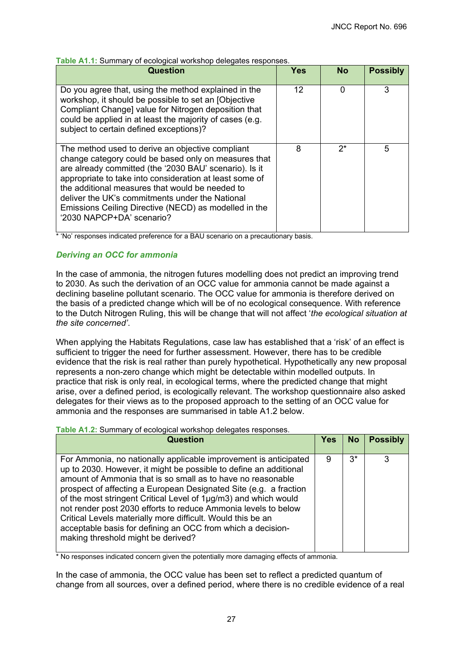| Table A1.1: Summary of ecological workshop delegates responses. |
|-----------------------------------------------------------------|
|-----------------------------------------------------------------|

| <b>Question</b>                                                                                                                                                                                                                                                                                                                                                                                                           | Yes | <b>No</b> | <b>Possibly</b> |
|---------------------------------------------------------------------------------------------------------------------------------------------------------------------------------------------------------------------------------------------------------------------------------------------------------------------------------------------------------------------------------------------------------------------------|-----|-----------|-----------------|
| Do you agree that, using the method explained in the<br>workshop, it should be possible to set an [Objective<br>Compliant Change] value for Nitrogen deposition that<br>could be applied in at least the majority of cases (e.g.<br>subject to certain defined exceptions)?                                                                                                                                               | 12  | 0         | 3               |
| The method used to derive an objective compliant<br>change category could be based only on measures that<br>are already committed (the '2030 BAU' scenario). Is it<br>appropriate to take into consideration at least some of<br>the additional measures that would be needed to<br>deliver the UK's commitments under the National<br>Emissions Ceiling Directive (NECD) as modelled in the<br>'2030 NAPCP+DA' scenario? | 8   | $2^*$     | 5               |

\* 'No' responses indicated preference for a BAU scenario on a precautionary basis.

### *Deriving an OCC for ammonia*

In the case of ammonia, the nitrogen futures modelling does not predict an improving trend to 2030. As such the derivation of an OCC value for ammonia cannot be made against a declining baseline pollutant scenario. The OCC value for ammonia is therefore derived on the basis of a predicted change which will be of no ecological consequence. With reference to the Dutch Nitrogen Ruling, this will be change that will not affect '*the ecological situation at the site concerned'*.

When applying the Habitats Regulations, case law has established that a 'risk' of an effect is sufficient to trigger the need for further assessment. However, there has to be credible evidence that the risk is real rather than purely hypothetical. Hypothetically any new proposal represents a non-zero change which might be detectable within modelled outputs. In practice that risk is only real, in ecological terms, where the predicted change that might arise, over a defined period, is ecologically relevant. The workshop questionnaire also asked delegates for their views as to the proposed approach to the setting of an OCC value for ammonia and the responses are summarised in table A1.2 below.

### **Table A1.2:** Summary of ecological workshop delegates responses.

| <b>Question</b>                                                                                                                                                                                                                                                                                                                                                                                                                                                                                                                                                                    | <b>Yes</b> | <b>No</b> | <b>Possibly</b> |
|------------------------------------------------------------------------------------------------------------------------------------------------------------------------------------------------------------------------------------------------------------------------------------------------------------------------------------------------------------------------------------------------------------------------------------------------------------------------------------------------------------------------------------------------------------------------------------|------------|-----------|-----------------|
| For Ammonia, no nationally applicable improvement is anticipated<br>up to 2030. However, it might be possible to define an additional<br>amount of Ammonia that is so small as to have no reasonable<br>prospect of affecting a European Designated Site (e.g. a fraction<br>of the most stringent Critical Level of 1µg/m3) and which would<br>not render post 2030 efforts to reduce Ammonia levels to below<br>Critical Levels materially more difficult. Would this be an<br>acceptable basis for defining an OCC from which a decision-<br>making threshold might be derived? | 9          | $3^*$     | 3               |

\* No responses indicated concern given the potentially more damaging effects of ammonia.

In the case of ammonia, the OCC value has been set to reflect a predicted quantum of change from all sources, over a defined period, where there is no credible evidence of a real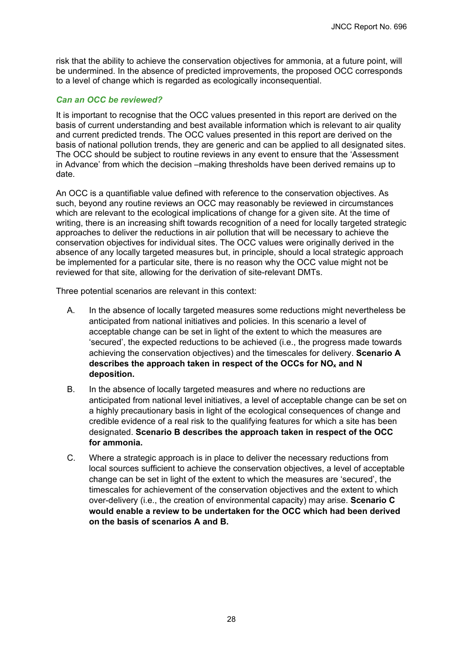risk that the ability to achieve the conservation objectives for ammonia, at a future point, will be undermined. In the absence of predicted improvements, the proposed OCC corresponds to a level of change which is regarded as ecologically inconsequential.

### *Can an OCC be reviewed?*

It is important to recognise that the OCC values presented in this report are derived on the basis of current understanding and best available information which is relevant to air quality and current predicted trends. The OCC values presented in this report are derived on the basis of national pollution trends, they are generic and can be applied to all designated sites. The OCC should be subject to routine reviews in any event to ensure that the 'Assessment in Advance' from which the decision –making thresholds have been derived remains up to date.

An OCC is a quantifiable value defined with reference to the conservation objectives. As such, beyond any routine reviews an OCC may reasonably be reviewed in circumstances which are relevant to the ecological implications of change for a given site. At the time of writing, there is an increasing shift towards recognition of a need for locally targeted strategic approaches to deliver the reductions in air pollution that will be necessary to achieve the conservation objectives for individual sites. The OCC values were originally derived in the absence of any locally targeted measures but, in principle, should a local strategic approach be implemented for a particular site, there is no reason why the OCC value might not be reviewed for that site, allowing for the derivation of site-relevant DMTs.

Three potential scenarios are relevant in this context:

- A. In the absence of locally targeted measures some reductions might nevertheless be anticipated from national initiatives and policies. In this scenario a level of acceptable change can be set in light of the extent to which the measures are 'secured', the expected reductions to be achieved (i.e., the progress made towards achieving the conservation objectives) and the timescales for delivery. **Scenario A describes the approach taken in respect of the OCCs for NOx and N deposition.**
- B. In the absence of locally targeted measures and where no reductions are anticipated from national level initiatives, a level of acceptable change can be set on a highly precautionary basis in light of the ecological consequences of change and credible evidence of a real risk to the qualifying features for which a site has been designated. **Scenario B describes the approach taken in respect of the OCC for ammonia.**
- C. Where a strategic approach is in place to deliver the necessary reductions from local sources sufficient to achieve the conservation objectives, a level of acceptable change can be set in light of the extent to which the measures are 'secured', the timescales for achievement of the conservation objectives and the extent to which over-delivery (i.e., the creation of environmental capacity) may arise. **Scenario C would enable a review to be undertaken for the OCC which had been derived on the basis of scenarios A and B.**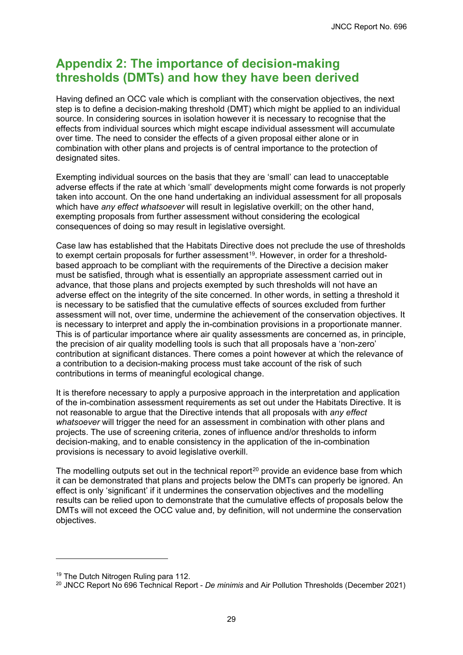# <span id="page-32-0"></span>**Appendix 2: The importance of decision-making thresholds (DMTs) and how they have been derived**

Having defined an OCC vale which is compliant with the conservation objectives, the next step is to define a decision-making threshold (DMT) which might be applied to an individual source. In considering sources in isolation however it is necessary to recognise that the effects from individual sources which might escape individual assessment will accumulate over time. The need to consider the effects of a given proposal either alone or in combination with other plans and projects is of central importance to the protection of designated sites.

Exempting individual sources on the basis that they are 'small' can lead to unacceptable adverse effects if the rate at which 'small' developments might come forwards is not properly taken into account. On the one hand undertaking an individual assessment for all proposals which have *any effect whatsoever* will result in legislative overkill; on the other hand, exempting proposals from further assessment without considering the ecological consequences of doing so may result in legislative oversight.

Case law has established that the Habitats Directive does not preclude the use of thresholds to exempt certain proposals for further assessment<sup>19</sup>. However, in order for a thresholdbased approach to be compliant with the requirements of the Directive a decision maker must be satisfied, through what is essentially an appropriate assessment carried out in advance, that those plans and projects exempted by such thresholds will not have an adverse effect on the integrity of the site concerned. In other words, in setting a threshold it is necessary to be satisfied that the cumulative effects of sources excluded from further assessment will not, over time, undermine the achievement of the conservation objectives. It is necessary to interpret and apply the in-combination provisions in a proportionate manner. This is of particular importance where air quality assessments are concerned as, in principle, the precision of air quality modelling tools is such that all proposals have a 'non-zero' contribution at significant distances. There comes a point however at which the relevance of a contribution to a decision-making process must take account of the risk of such contributions in terms of meaningful ecological change.

It is therefore necessary to apply a purposive approach in the interpretation and application of the in-combination assessment requirements as set out under the Habitats Directive. It is not reasonable to argue that the Directive intends that all proposals with *any effect whatsoever* will trigger the need for an assessment in combination with other plans and projects. The use of screening criteria, zones of influence and/or thresholds to inform decision-making, and to enable consistency in the application of the in-combination provisions is necessary to avoid legislative overkill.

The modelling outputs set out in the technical report<sup>[20](#page-32-2)</sup> provide an evidence base from which it can be demonstrated that plans and projects below the DMTs can properly be ignored. An effect is only 'significant' if it undermines the conservation objectives and the modelling results can be relied upon to demonstrate that the cumulative effects of proposals below the DMTs will not exceed the OCC value and, by definition, will not undermine the conservation objectives.

<span id="page-32-1"></span><sup>&</sup>lt;sup>19</sup> The Dutch Nitrogen Ruling para 112.

<span id="page-32-2"></span><sup>20</sup> JNCC Report No 696 Technical Report - *De minimis* and Air Pollution Thresholds (December 2021)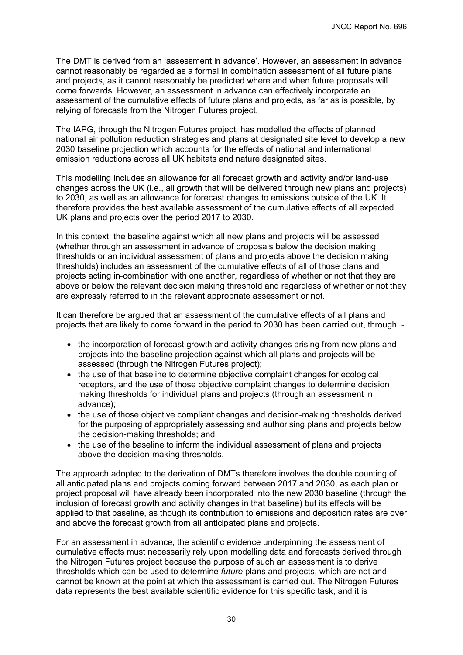The DMT is derived from an 'assessment in advance'. However, an assessment in advance cannot reasonably be regarded as a formal in combination assessment of all future plans and projects, as it cannot reasonably be predicted where and when future proposals will come forwards. However, an assessment in advance can effectively incorporate an assessment of the cumulative effects of future plans and projects, as far as is possible, by relying of forecasts from the Nitrogen Futures project.

The IAPG, through the Nitrogen Futures project, has modelled the effects of planned national air pollution reduction strategies and plans at designated site level to develop a new 2030 baseline projection which accounts for the effects of national and international emission reductions across all UK habitats and nature designated sites.

This modelling includes an allowance for all forecast growth and activity and/or land-use changes across the UK (i.e., all growth that will be delivered through new plans and projects) to 2030, as well as an allowance for forecast changes to emissions outside of the UK. It therefore provides the best available assessment of the cumulative effects of all expected UK plans and projects over the period 2017 to 2030.

In this context, the baseline against which all new plans and projects will be assessed (whether through an assessment in advance of proposals below the decision making thresholds or an individual assessment of plans and projects above the decision making thresholds) includes an assessment of the cumulative effects of all of those plans and projects acting in-combination with one another, regardless of whether or not that they are above or below the relevant decision making threshold and regardless of whether or not they are expressly referred to in the relevant appropriate assessment or not.

It can therefore be argued that an assessment of the cumulative effects of all plans and projects that are likely to come forward in the period to 2030 has been carried out, through: -

- the incorporation of forecast growth and activity changes arising from new plans and projects into the baseline projection against which all plans and projects will be assessed (through the Nitrogen Futures project);
- the use of that baseline to determine objective complaint changes for ecological receptors, and the use of those objective complaint changes to determine decision making thresholds for individual plans and projects (through an assessment in advance);
- the use of those objective compliant changes and decision-making thresholds derived for the purposing of appropriately assessing and authorising plans and projects below the decision-making thresholds; and
- the use of the baseline to inform the individual assessment of plans and projects above the decision-making thresholds.

The approach adopted to the derivation of DMTs therefore involves the double counting of all anticipated plans and projects coming forward between 2017 and 2030, as each plan or project proposal will have already been incorporated into the new 2030 baseline (through the inclusion of forecast growth and activity changes in that baseline) but its effects will be applied to that baseline, as though its contribution to emissions and deposition rates are over and above the forecast growth from all anticipated plans and projects.

For an assessment in advance, the scientific evidence underpinning the assessment of cumulative effects must necessarily rely upon modelling data and forecasts derived through the Nitrogen Futures project because the purpose of such an assessment is to derive thresholds which can be used to determine *future* plans and projects, which are not and cannot be known at the point at which the assessment is carried out. The Nitrogen Futures data represents the best available scientific evidence for this specific task, and it is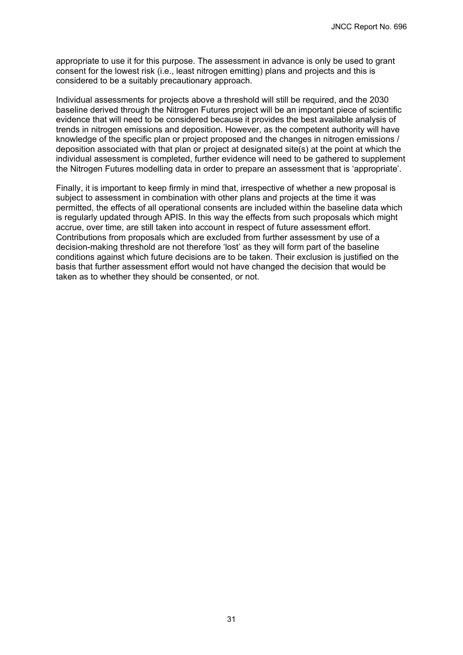appropriate to use it for this purpose. The assessment in advance is only be used to grant consent for the lowest risk (i.e., least nitrogen emitting) plans and projects and this is considered to be a suitably precautionary approach.

Individual assessments for projects above a threshold will still be required, and the 2030 baseline derived through the Nitrogen Futures project will be an important piece of scientific evidence that will need to be considered because it provides the best available analysis of trends in nitrogen emissions and deposition. However, as the competent authority will have knowledge of the specific plan or project proposed and the changes in nitrogen emissions / deposition associated with that plan or project at designated site(s) at the point at which the individual assessment is completed, further evidence will need to be gathered to supplement the Nitrogen Futures modelling data in order to prepare an assessment that is 'appropriate'.

Finally, it is important to keep firmly in mind that, irrespective of whether a new proposal is subject to assessment in combination with other plans and projects at the time it was permitted, the effects of all operational consents are included within the baseline data which is regularly updated through APIS. In this way the effects from such proposals which might accrue, over time, are still taken into account in respect of future assessment effort. Contributions from proposals which are excluded from further assessment by use of a decision-making threshold are not therefore 'lost' as they will form part of the baseline conditions against which future decisions are to be taken. Their exclusion is justified on the basis that further assessment effort would not have changed the decision that would be taken as to whether they should be consented, or not.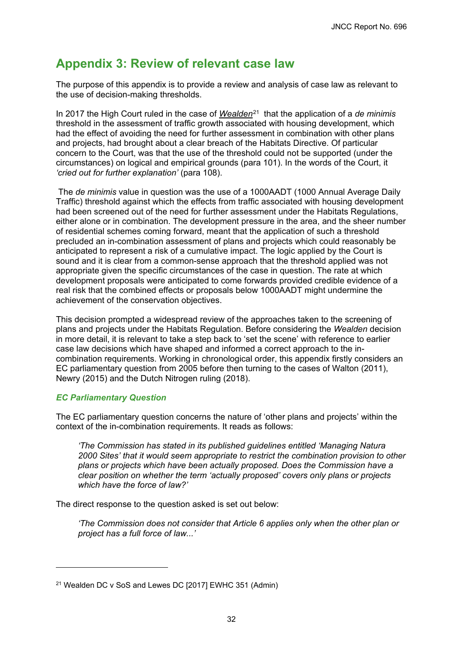# <span id="page-35-0"></span>**Appendix 3: Review of relevant case law**

The purpose of this appendix is to provide a review and analysis of case law as relevant to the use of decision-making thresholds.

In 2017 the High Court ruled in the case of *Wealden*[21](#page-35-1) that the application of a *de minimis* threshold in the assessment of traffic growth associated with housing development, which had the effect of avoiding the need for further assessment in combination with other plans and projects, had brought about a clear breach of the Habitats Directive. Of particular concern to the Court, was that the use of the threshold could not be supported (under the circumstances) on logical and empirical grounds (para 101). In the words of the Court, it *'cried out for further explanation'* (para 108).

The *de minimis* value in question was the use of a 1000AADT (1000 Annual Average Daily Traffic) threshold against which the effects from traffic associated with housing development had been screened out of the need for further assessment under the Habitats Regulations, either alone or in combination. The development pressure in the area, and the sheer number of residential schemes coming forward, meant that the application of such a threshold precluded an in-combination assessment of plans and projects which could reasonably be anticipated to represent a risk of a cumulative impact. The logic applied by the Court is sound and it is clear from a common-sense approach that the threshold applied was not appropriate given the specific circumstances of the case in question. The rate at which development proposals were anticipated to come forwards provided credible evidence of a real risk that the combined effects or proposals below 1000AADT might undermine the achievement of the conservation objectives.

This decision prompted a widespread review of the approaches taken to the screening of plans and projects under the Habitats Regulation. Before considering the *Wealden* decision in more detail, it is relevant to take a step back to 'set the scene' with reference to earlier case law decisions which have shaped and informed a correct approach to the incombination requirements. Working in chronological order, this appendix firstly considers an EC parliamentary question from 2005 before then turning to the cases of Walton (2011), Newry (2015) and the Dutch Nitrogen ruling (2018).

### *EC Parliamentary Question*

The EC parliamentary question concerns the nature of 'other plans and projects' within the context of the in-combination requirements. It reads as follows:

*'The Commission has stated in its published guidelines entitled 'Managing Natura 2000 Sites' that it would seem appropriate to restrict the combination provision to other plans or projects which have been actually proposed. Does the Commission have a clear position on whether the term 'actually proposed' covers only plans or projects which have the force of law?'*

The direct response to the question asked is set out below:

*'The Commission does not consider that Article 6 applies only when the other plan or project has a full force of law...'*

<span id="page-35-1"></span><sup>21</sup> Wealden DC v SoS and Lewes DC [2017] EWHC 351 (Admin)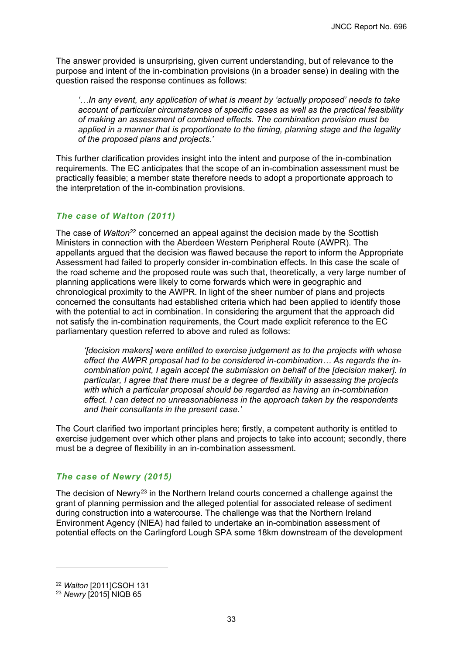The answer provided is unsurprising, given current understanding, but of relevance to the purpose and intent of the in-combination provisions (in a broader sense) in dealing with the question raised the response continues as follows:

*'…In any event, any application of what is meant by 'actually proposed' needs to take account of particular circumstances of specific cases as well as the practical feasibility of making an assessment of combined effects. The combination provision must be applied in a manner that is proportionate to the timing, planning stage and the legality of the proposed plans and projects.'*

This further clarification provides insight into the intent and purpose of the in-combination requirements. The EC anticipates that the scope of an in-combination assessment must be practically feasible; a member state therefore needs to adopt a proportionate approach to the interpretation of the in-combination provisions.

### *The case of Walton (2011)*

The case of *Walton*<sup>[22](#page-36-0)</sup> concerned an appeal against the decision made by the Scottish Ministers in connection with the Aberdeen Western Peripheral Route (AWPR). The appellants argued that the decision was flawed because the report to inform the Appropriate Assessment had failed to properly consider in-combination effects. In this case the scale of the road scheme and the proposed route was such that, theoretically, a very large number of planning applications were likely to come forwards which were in geographic and chronological proximity to the AWPR. In light of the sheer number of plans and projects concerned the consultants had established criteria which had been applied to identify those with the potential to act in combination. In considering the argument that the approach did not satisfy the in-combination requirements, the Court made explicit reference to the EC parliamentary question referred to above and ruled as follows:

*'[decision makers] were entitled to exercise judgement as to the projects with whose effect the AWPR proposal had to be considered in-combination… As regards the incombination point, I again accept the submission on behalf of the [decision maker]. In particular, I agree that there must be a degree of flexibility in assessing the projects with which a particular proposal should be regarded as having an in-combination effect. I can detect no unreasonableness in the approach taken by the respondents and their consultants in the present case.'*

The Court clarified two important principles here; firstly, a competent authority is entitled to exercise judgement over which other plans and projects to take into account; secondly, there must be a degree of flexibility in an in-combination assessment.

### *The case of Newry (2015)*

The decision of Newry<sup>[23](#page-36-1)</sup> in the Northern Ireland courts concerned a challenge against the grant of planning permission and the alleged potential for associated release of sediment during construction into a watercourse. The challenge was that the Northern Ireland Environment Agency (NIEA) had failed to undertake an in-combination assessment of potential effects on the Carlingford Lough SPA some 18km downstream of the development

<span id="page-36-0"></span><sup>22</sup> *Walton* [2011]CSOH 131

<span id="page-36-1"></span><sup>23</sup> *Newry* [2015] NIQB 65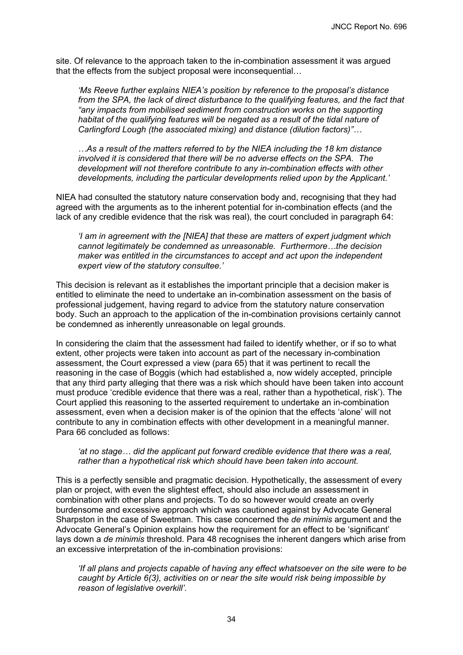site. Of relevance to the approach taken to the in-combination assessment it was argued that the effects from the subject proposal were inconsequential…

*'Ms Reeve further explains NIEA's position by reference to the proposal's distance from the SPA, the lack of direct disturbance to the qualifying features, and the fact that "any impacts from mobilised sediment from construction works on the supporting habitat of the qualifying features will be negated as a result of the tidal nature of Carlingford Lough (the associated mixing) and distance (dilution factors)"…*

*…As a result of the matters referred to by the NIEA including the 18 km distance involved it is considered that there will be no adverse effects on the SPA. The development will not therefore contribute to any in-combination effects with other developments, including the particular developments relied upon by the Applicant.'*

NIEA had consulted the statutory nature conservation body and, recognising that they had agreed with the arguments as to the inherent potential for in-combination effects (and the lack of any credible evidence that the risk was real), the court concluded in paragraph 64:

*'I am in agreement with the [NIEA] that these are matters of expert judgment which cannot legitimately be condemned as unreasonable. Furthermore…the decision maker was entitled in the circumstances to accept and act upon the independent expert view of the statutory consultee.'*

This decision is relevant as it establishes the important principle that a decision maker is entitled to eliminate the need to undertake an in-combination assessment on the basis of professional judgement, having regard to advice from the statutory nature conservation body. Such an approach to the application of the in-combination provisions certainly cannot be condemned as inherently unreasonable on legal grounds.

In considering the claim that the assessment had failed to identify whether, or if so to what extent, other projects were taken into account as part of the necessary in-combination assessment, the Court expressed a view (para 65) that it was pertinent to recall the reasoning in the case of Boggis (which had established a, now widely accepted, principle that any third party alleging that there was a risk which should have been taken into account must produce 'credible evidence that there was a real, rather than a hypothetical, risk'). The Court applied this reasoning to the asserted requirement to undertake an in-combination assessment, even when a decision maker is of the opinion that the effects 'alone' will not contribute to any in combination effects with other development in a meaningful manner. Para 66 concluded as follows:

#### *'at no stage… did the applicant put forward credible evidence that there was a real, rather than a hypothetical risk which should have been taken into account.*

This is a perfectly sensible and pragmatic decision. Hypothetically, the assessment of every plan or project, with even the slightest effect, should also include an assessment in combination with other plans and projects. To do so however would create an overly burdensome and excessive approach which was cautioned against by Advocate General Sharpston in the case of Sweetman. This case concerned the *de minimis* argument and the Advocate General's Opinion explains how the requirement for an effect to be 'significant' lays down a *de minimis* threshold. Para 48 recognises the inherent dangers which arise from an excessive interpretation of the in-combination provisions:

*'If all plans and projects capable of having any effect whatsoever on the site were to be caught by Article 6(3), activities on or near the site would risk being impossible by reason of legislative overkill'.*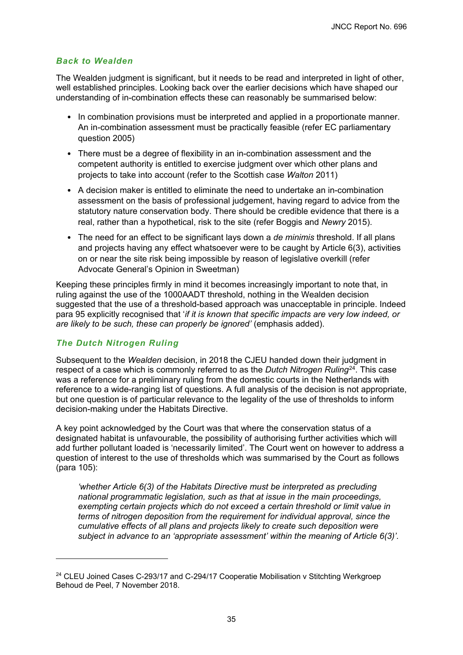### *Back to Wealden*

The Wealden judgment is significant, but it needs to be read and interpreted in light of other, well established principles. Looking back over the earlier decisions which have shaped our understanding of in-combination effects these can reasonably be summarised below:

- In combination provisions must be interpreted and applied in a proportionate manner. An in-combination assessment must be practically feasible (refer EC parliamentary question 2005)
- There must be a degree of flexibility in an in-combination assessment and the competent authority is entitled to exercise judgment over which other plans and projects to take into account (refer to the Scottish case *Walton* 2011)
- A decision maker is entitled to eliminate the need to undertake an in-combination assessment on the basis of professional judgement, having regard to advice from the statutory nature conservation body. There should be credible evidence that there is a real, rather than a hypothetical, risk to the site (refer Boggis and *Newry* 2015).
- The need for an effect to be significant lays down a *de minimis* threshold. If all plans and projects having any effect whatsoever were to be caught by Article 6(3), activities on or near the site risk being impossible by reason of legislative overkill (refer Advocate General's Opinion in Sweetman)

Keeping these principles firmly in mind it becomes increasingly important to note that, in ruling against the use of the 1000AADT threshold, nothing in the Wealden decision suggested that the use of a threshold-based approach was unacceptable in principle. Indeed para 95 explicitly recognised that '*if it is known that specific impacts are very low indeed, or are likely to be such, these can properly be ignored'* (emphasis added).

### *The Dutch Nitrogen Ruling*

Subsequent to the *Wealden* decision, in 2018 the CJEU handed down their judgment in respect of a case which is commonly referred to as the *Dutch Nitrogen Ruling*[24.](#page-38-0) This case was a reference for a preliminary ruling from the domestic courts in the Netherlands with reference to a wide-ranging list of questions. A full analysis of the decision is not appropriate, but one question is of particular relevance to the legality of the use of thresholds to inform decision-making under the Habitats Directive.

A key point acknowledged by the Court was that where the conservation status of a designated habitat is unfavourable, the possibility of authorising further activities which will add further pollutant loaded is 'necessarily limited'. The Court went on however to address a question of interest to the use of thresholds which was summarised by the Court as follows (para 105):

*'whether Article 6(3) of the Habitats Directive must be interpreted as precluding national programmatic legislation, such as that at issue in the main proceedings, exempting certain projects which do not exceed a certain threshold or limit value in terms of nitrogen deposition from the requirement for individual approval, since the cumulative effects of all plans and projects likely to create such deposition were subject in advance to an 'appropriate assessment' within the meaning of Article 6(3)'.* 

<span id="page-38-0"></span> $24$  CLEU Joined Cases C-293/17 and C-294/17 Cooperatie Mobilisation v Stitchting Werkgroep Behoud de Peel, 7 November 2018.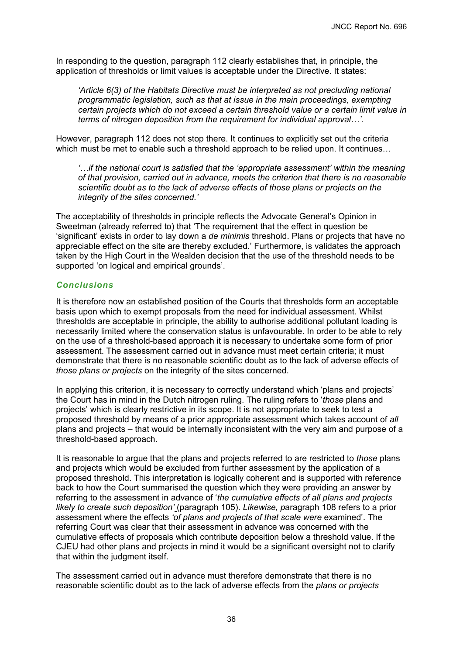In responding to the question, paragraph 112 clearly establishes that, in principle, the application of thresholds or limit values is acceptable under the Directive. It states:

*'Article 6(3) of the Habitats Directive must be interpreted as not precluding national programmatic legislation, such as that at issue in the main proceedings, exempting certain projects which do not exceed a certain threshold value or a certain limit value in terms of nitrogen deposition from the requirement for individual approval…'.*

However, paragraph 112 does not stop there. It continues to explicitly set out the criteria which must be met to enable such a threshold approach to be relied upon. It continues...

*'…if the national court is satisfied that the 'appropriate assessment' within the meaning of that provision, carried out in advance, meets the criterion that there is no reasonable scientific doubt as to the lack of adverse effects of those plans or projects on the integrity of the sites concerned.'*

The acceptability of thresholds in principle reflects the Advocate General's Opinion in Sweetman (already referred to) that 'The requirement that the effect in question be 'significant' exists in order to lay down a *de minimis* threshold. Plans or projects that have no appreciable effect on the site are thereby excluded.' Furthermore, is validates the approach taken by the High Court in the Wealden decision that the use of the threshold needs to be supported 'on logical and empirical grounds'.

### *Conclusions*

It is therefore now an established position of the Courts that thresholds form an acceptable basis upon which to exempt proposals from the need for individual assessment. Whilst thresholds are acceptable in principle, the ability to authorise additional pollutant loading is necessarily limited where the conservation status is unfavourable. In order to be able to rely on the use of a threshold-based approach it is necessary to undertake some form of prior assessment. The assessment carried out in advance must meet certain criteria; it must demonstrate that there is no reasonable scientific doubt as to the lack of adverse effects of *those plans or projects* on the integrity of the sites concerned.

In applying this criterion, it is necessary to correctly understand which 'plans and projects' the Court has in mind in the Dutch nitrogen ruling. The ruling refers to '*those* plans and projects' which is clearly restrictive in its scope. It is not appropriate to seek to test a proposed threshold by means of a prior appropriate assessment which takes account of *all* plans and projects – that would be internally inconsistent with the very aim and purpose of a threshold-based approach.

It is reasonable to argue that the plans and projects referred to are restricted to *those* plans and projects which would be excluded from further assessment by the application of a proposed threshold. This interpretation is logically coherent and is supported with reference back to how the Court summarised the question which they were providing an answer by referring to the assessment in advance of '*the cumulative effects of all plans and projects likely to create such deposition'* (paragraph 105). *Likewise, p*aragraph 108 refers to a prior assessment where the effects *'of plans and projects of that scale were* examined'. The referring Court was clear that their assessment in advance was concerned with the cumulative effects of proposals which contribute deposition below a threshold value. If the CJEU had other plans and projects in mind it would be a significant oversight not to clarify that within the judgment itself.

The assessment carried out in advance must therefore demonstrate that there is no reasonable scientific doubt as to the lack of adverse effects from the *plans or projects*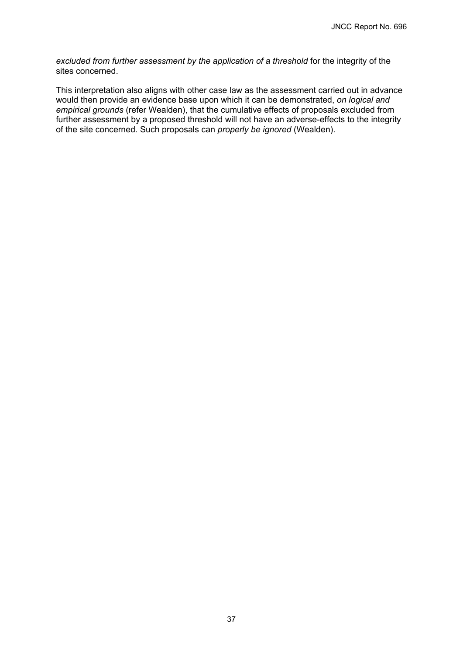*excluded from further assessment by the application of a threshold* for the integrity of the sites concerned.

This interpretation also aligns with other case law as the assessment carried out in advance would then provide an evidence base upon which it can be demonstrated, *on logical and empirical grounds* (refer Wealden), that the cumulative effects of proposals excluded from further assessment by a proposed threshold will not have an adverse-effects to the integrity of the site concerned. Such proposals can *properly be ignored* (Wealden).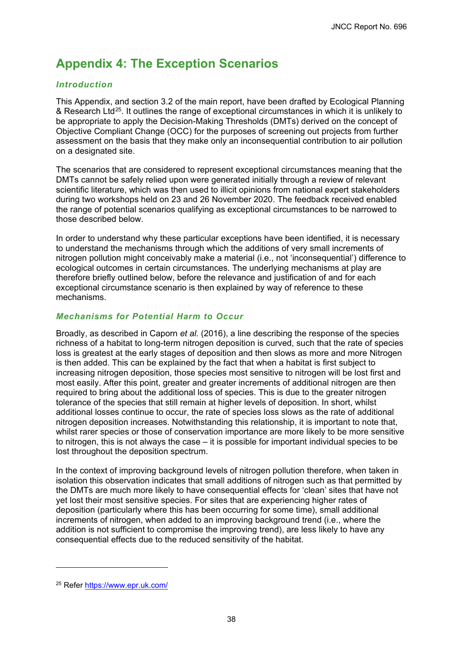# <span id="page-41-0"></span>**Appendix 4: The Exception Scenarios**

### *Introduction*

This Appendix, and section 3.2 of the main report, have been drafted by Ecological Planning & Research Ltd[25](#page-41-1). It outlines the range of exceptional circumstances in which it is unlikely to be appropriate to apply the Decision-Making Thresholds (DMTs) derived on the concept of Objective Compliant Change (OCC) for the purposes of screening out projects from further assessment on the basis that they make only an inconsequential contribution to air pollution on a designated site.

The scenarios that are considered to represent exceptional circumstances meaning that the DMTs cannot be safely relied upon were generated initially through a review of relevant scientific literature, which was then used to illicit opinions from national expert stakeholders during two workshops held on 23 and 26 November 2020. The feedback received enabled the range of potential scenarios qualifying as exceptional circumstances to be narrowed to those described below.

In order to understand why these particular exceptions have been identified, it is necessary to understand the mechanisms through which the additions of very small increments of nitrogen pollution might conceivably make a material (i.e., not 'inconsequential') difference to ecological outcomes in certain circumstances. The underlying mechanisms at play are therefore briefly outlined below, before the relevance and justification of and for each exceptional circumstance scenario is then explained by way of reference to these mechanisms.

### *Mechanisms for Potential Harm to Occur*

Broadly, as described in Caporn *et al.* (2016), a line describing the response of the species richness of a habitat to long-term nitrogen deposition is curved, such that the rate of species loss is greatest at the early stages of deposition and then slows as more and more Nitrogen is then added. This can be explained by the fact that when a habitat is first subject to increasing nitrogen deposition, those species most sensitive to nitrogen will be lost first and most easily. After this point, greater and greater increments of additional nitrogen are then required to bring about the additional loss of species. This is due to the greater nitrogen tolerance of the species that still remain at higher levels of deposition. In short, whilst additional losses continue to occur, the rate of species loss slows as the rate of additional nitrogen deposition increases. Notwithstanding this relationship, it is important to note that, whilst rarer species or those of conservation importance are more likely to be more sensitive to nitrogen, this is not always the case – it is possible for important individual species to be lost throughout the deposition spectrum.

In the context of improving background levels of nitrogen pollution therefore, when taken in isolation this observation indicates that small additions of nitrogen such as that permitted by the DMTs are much more likely to have consequential effects for 'clean' sites that have not yet lost their most sensitive species. For sites that are experiencing higher rates of deposition (particularly where this has been occurring for some time), small additional increments of nitrogen, when added to an improving background trend (i.e., where the addition is not sufficient to compromise the improving trend), are less likely to have any consequential effects due to the reduced sensitivity of the habitat.

<span id="page-41-1"></span><sup>25</sup> Refer<https://www.epr.uk.com/>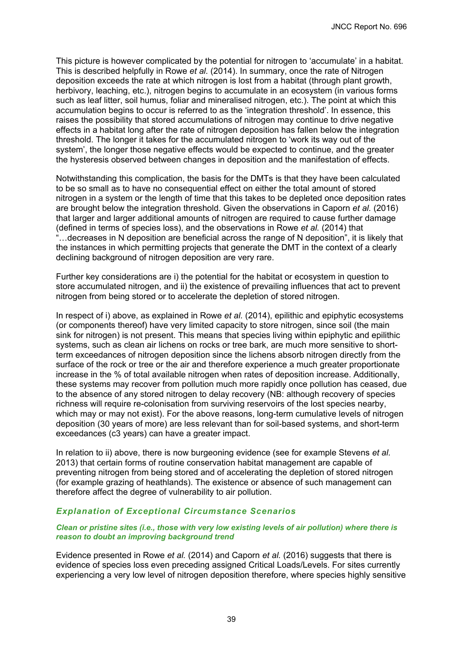This picture is however complicated by the potential for nitrogen to 'accumulate' in a habitat. This is described helpfully in Rowe *et al.* (2014). In summary, once the rate of Nitrogen deposition exceeds the rate at which nitrogen is lost from a habitat (through plant growth, herbivory, leaching, etc.), nitrogen begins to accumulate in an ecosystem (in various forms such as leaf litter, soil humus, foliar and mineralised nitrogen, etc.). The point at which this accumulation begins to occur is referred to as the 'integration threshold'. In essence, this raises the possibility that stored accumulations of nitrogen may continue to drive negative effects in a habitat long after the rate of nitrogen deposition has fallen below the integration threshold. The longer it takes for the accumulated nitrogen to 'work its way out of the system', the longer those negative effects would be expected to continue, and the greater the hysteresis observed between changes in deposition and the manifestation of effects.

Notwithstanding this complication, the basis for the DMTs is that they have been calculated to be so small as to have no consequential effect on either the total amount of stored nitrogen in a system or the length of time that this takes to be depleted once deposition rates are brought below the integration threshold. Given the observations in Caporn *et al.* (2016) that larger and larger additional amounts of nitrogen are required to cause further damage (defined in terms of species loss), and the observations in Rowe *et al.* (2014) that "…decreases in N deposition are beneficial across the range of N deposition", it is likely that the instances in which permitting projects that generate the DMT in the context of a clearly declining background of nitrogen deposition are very rare.

Further key considerations are i) the potential for the habitat or ecosystem in question to store accumulated nitrogen, and ii) the existence of prevailing influences that act to prevent nitrogen from being stored or to accelerate the depletion of stored nitrogen.

In respect of i) above, as explained in Rowe *et al.* (2014), epilithic and epiphytic ecosystems (or components thereof) have very limited capacity to store nitrogen, since soil (the main sink for nitrogen) is not present. This means that species living within epiphytic and epilithic systems, such as clean air lichens on rocks or tree bark, are much more sensitive to shortterm exceedances of nitrogen deposition since the lichens absorb nitrogen directly from the surface of the rock or tree or the air and therefore experience a much greater proportionate increase in the % of total available nitrogen when rates of deposition increase. Additionally, these systems may recover from pollution much more rapidly once pollution has ceased, due to the absence of any stored nitrogen to delay recovery (NB: although recovery of species richness will require re-colonisation from surviving reservoirs of the lost species nearby, which may or may not exist). For the above reasons, long-term cumulative levels of nitrogen deposition (30 years of more) are less relevant than for soil-based systems, and short-term exceedances (c3 years) can have a greater impact.

In relation to ii) above, there is now burgeoning evidence (see for example Stevens *et al.* 2013) that certain forms of routine conservation habitat management are capable of preventing nitrogen from being stored and of accelerating the depletion of stored nitrogen (for example grazing of heathlands). The existence or absence of such management can therefore affect the degree of vulnerability to air pollution.

#### *Explanation of Exceptional Circumstance Scenarios*

#### *Clean or pristine sites (i.e., those with very low existing levels of air pollution) where there is reason to doubt an improving background trend*

Evidence presented in Rowe *et al.* (2014) and Caporn *et al.* (2016) suggests that there is evidence of species loss even preceding assigned Critical Loads/Levels. For sites currently experiencing a very low level of nitrogen deposition therefore, where species highly sensitive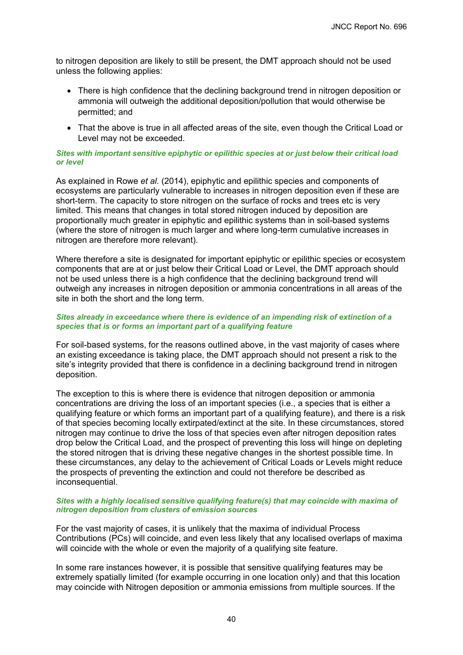to nitrogen deposition are likely to still be present, the DMT approach should not be used unless the following applies:

- There is high confidence that the declining background trend in nitrogen deposition or ammonia will outweigh the additional deposition/pollution that would otherwise be permitted; and
- That the above is true in all affected areas of the site, even though the Critical Load or Level may not be exceeded.

#### *Sites with important sensitive epiphytic or epilithic species at or just below their critical load or level*

As explained in Rowe *et al.* (2014), epiphytic and epilithic species and components of ecosystems are particularly vulnerable to increases in nitrogen deposition even if these are short-term. The capacity to store nitrogen on the surface of rocks and trees etc is very limited. This means that changes in total stored nitrogen induced by deposition are proportionally much greater in epiphytic and epilithic systems than in soil-based systems (where the store of nitrogen is much larger and where long-term cumulative increases in nitrogen are therefore more relevant).

Where therefore a site is designated for important epiphytic or epilithic species or ecosystem components that are at or just below their Critical Load or Level, the DMT approach should not be used unless there is a high confidence that the declining background trend will outweigh any increases in nitrogen deposition or ammonia concentrations in all areas of the site in both the short and the long term.

#### *Sites already in exceedance where there is evidence of an impending risk of extinction of a species that is or forms an important part of a qualifying feature*

For soil-based systems, for the reasons outlined above, in the vast majority of cases where an existing exceedance is taking place, the DMT approach should not present a risk to the site's integrity provided that there is confidence in a declining background trend in nitrogen deposition.

The exception to this is where there is evidence that nitrogen deposition or ammonia concentrations are driving the loss of an important species (i.e., a species that is either a qualifying feature or which forms an important part of a qualifying feature), and there is a risk of that species becoming locally extirpated/extinct at the site. In these circumstances, stored nitrogen may continue to drive the loss of that species even after nitrogen deposition rates drop below the Critical Load, and the prospect of preventing this loss will hinge on depleting the stored nitrogen that is driving these negative changes in the shortest possible time. In these circumstances, any delay to the achievement of Critical Loads or Levels might reduce the prospects of preventing the extinction and could not therefore be described as inconsequential.

#### *Sites with a highly localised sensitive qualifying feature(s) that may coincide with maxima of nitrogen deposition from clusters of emission sources*

For the vast majority of cases, it is unlikely that the maxima of individual Process Contributions (PCs) will coincide, and even less likely that any localised overlaps of maxima will coincide with the whole or even the majority of a qualifying site feature.

In some rare instances however, it is possible that sensitive qualifying features may be extremely spatially limited (for example occurring in one location only) and that this location may coincide with Nitrogen deposition or ammonia emissions from multiple sources. If the